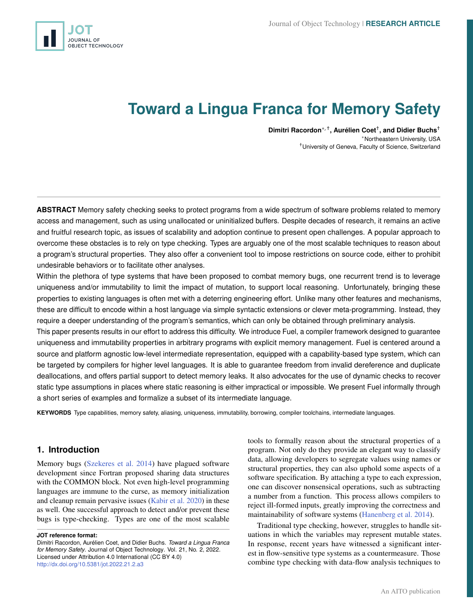<span id="page-0-0"></span>

# **Toward a Lingua Franca for Memory Safety**

**Dimitri Racordon**∗, † **, Aurélien Coet**† **, and Didier Buchs**† <sup>∗</sup>Northeastern University, USA †University of Geneva, Faculty of Science, Switzerland

**ABSTRACT** Memory safety checking seeks to protect programs from a wide spectrum of software problems related to memory access and management, such as using unallocated or uninitialized buffers. Despite decades of research, it remains an active and fruitful research topic, as issues of scalability and adoption continue to present open challenges. A popular approach to overcome these obstacles is to rely on type checking. Types are arguably one of the most scalable techniques to reason about a program's structural properties. They also offer a convenient tool to impose restrictions on source code, either to prohibit undesirable behaviors or to facilitate other analyses.

Within the plethora of type systems that have been proposed to combat memory bugs, one recurrent trend is to leverage uniqueness and/or immutability to limit the impact of mutation, to support local reasoning. Unfortunately, bringing these properties to existing languages is often met with a deterring engineering effort. Unlike many other features and mechanisms, these are difficult to encode within a host language via simple syntactic extensions or clever meta-programming. Instead, they require a deeper understanding of the program's semantics, which can only be obtained through preliminary analysis.

This paper presents results in our effort to address this difficulty. We introduce Fuel, a compiler framework designed to guarantee uniqueness and immutability properties in arbitrary programs with explicit memory management. Fuel is centered around a source and platform agnostic low-level intermediate representation, equipped with a capability-based type system, which can be targeted by compilers for higher level languages. It is able to guarantee freedom from invalid dereference and duplicate deallocations, and offers partial support to detect memory leaks. It also advocates for the use of dynamic checks to recover static type assumptions in places where static reasoning is either impractical or impossible. We present Fuel informally through a short series of examples and formalize a subset of its intermediate language.

**KEYWORDS** Type capabilities, memory safety, aliasing, uniqueness, immutability, borrowing, compiler toolchains, intermediate languages.

# **1. Introduction**

Memory bugs [\(Szekeres et al.](#page-20-0) [2014\)](#page-20-0) have plagued software development since Fortran proposed sharing data structures with the COMMON block. Not even high-level programming languages are immune to the curse, as memory initialization and cleanup remain pervasive issues [\(Kabir et al.](#page-18-0) [2020\)](#page-18-0) in these as well. One successful approach to detect and/or prevent these bugs is type-checking. Types are one of the most scalable

**JOT reference format:**

Dimitri Racordon, Aurélien Coet, and Didier Buchs. *Toward a Lingua Franca for Memory Safety*. Journal of Object Technology. Vol. 21, No. 2, 2022. Licensed under Attribution 4.0 International (CC BY 4.0) <http://dx.doi.org/10.5381/jot.2022.21.2.a3>

tools to formally reason about the structural properties of a program. Not only do they provide an elegant way to classify data, allowing developers to segregate values using names or structural properties, they can also uphold some aspects of a software specification. By attaching a type to each expression, one can discover nonsensical operations, such as subtracting a number from a function. This process allows compilers to reject ill-formed inputs, greatly improving the correctness and maintainability of software systems [\(Hanenberg et al.](#page-18-1) [2014\)](#page-18-1).

Traditional type checking, however, struggles to handle situations in which the variables may represent mutable states. In response, recent years have witnessed a significant interest in flow-sensitive type systems as a countermeasure. Those combine type checking with data-flow analysis techniques to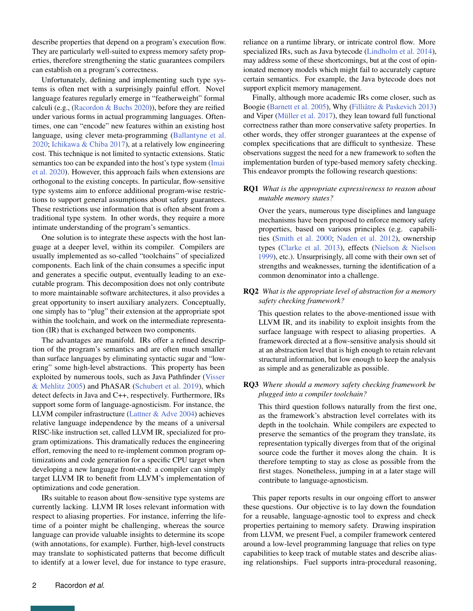describe properties that depend on a program's execution flow. They are particularly well-suited to express memory safety properties, therefore strengthening the static guarantees compilers can establish on a program's correctness.

Unfortunately, defining and implementing such type systems is often met with a surprisingly painful effort. Novel language features regularly emerge in "featherweight" formal calculi (e.g., [\(Racordon & Buchs](#page-19-0) [2020\)](#page-19-0)), before they are reified under various forms in actual programming languages. Oftentimes, one can "encode" new features within an existing host language, using clever meta-programming [\(Ballantyne et al.](#page-17-0) [2020;](#page-17-0) [Ichikawa & Chiba](#page-18-2) [2017\)](#page-18-2), at a relatively low engineering cost. This technique is not limited to syntactic extensions. Static semantics too can be expanded into the host's type system [\(Imai](#page-18-3) [et al.](#page-18-3) [2020\)](#page-18-3). However, this approach fails when extensions are orthogonal to the existing concepts. In particular, flow-sensitive type systems aim to enforce additional program-wise restrictions to support general assumptions about safety guarantees. These restrictions use information that is often absent from a traditional type system. In other words, they require a more intimate understanding of the program's semantics.

One solution is to integrate these aspects with the host language at a deeper level, within its compiler. Compilers are usually implemented as so-called "toolchains" of specialized components. Each link of the chain consumes a specific input and generates a specific output, eventually leading to an executable program. This decomposition does not only contribute to more maintainable software architectures, it also provides a great opportunity to insert auxiliary analyzers. Conceptually, one simply has to "plug" their extension at the appropriate spot within the toolchain, and work on the intermediate representation (IR) that is exchanged between two components.

The advantages are manifold. IRs offer a refined description of the program's semantics and are often much smaller than surface languages by eliminating syntactic sugar and "lowering" some high-level abstractions. This property has been exploited by numerous tools, such as Java Pathfinder [\(Visser](#page-20-1) [& Mehlitz](#page-20-1) [2005\)](#page-20-1) and PhASAR [\(Schubert et al.](#page-19-1) [2019\)](#page-19-1), which detect defects in Java and C++, respectively. Furthermore, IRs support some form of language-agnosticism. For instance, the LLVM compiler infrastructure [\(Lattner & Adve](#page-18-4) [2004\)](#page-18-4) achieves relative language independence by the means of a universal RISC-like instruction set, called LLVM IR, specialized for program optimizations. This dramatically reduces the engineering effort, removing the need to re-implement common program optimizations and code generation for a specific CPU target when developing a new language front-end: a compiler can simply target LLVM IR to benefit from LLVM's implementation of optimizations and code generation.

IRs suitable to reason about flow-sensitive type systems are currently lacking. LLVM IR loses relevant information with respect to aliasing properties. For instance, inferring the lifetime of a pointer might be challenging, whereas the source language can provide valuable insights to determine its scope (with annotations, for example). Further, high-level constructs may translate to sophisticated patterns that become difficult to identify at a lower level, due for instance to type erasure, reliance on a runtime library, or intricate control flow. More specialized IRs, such as Java bytecode [\(Lindholm et al.](#page-18-5) [2014\)](#page-18-5), may address some of these shortcomings, but at the cost of opinionated memory models which might fail to accurately capture certain semantics. For example, the Java bytecode does not support explicit memory management.

Finally, although more academic IRs come closer, such as Boogie [\(Barnett et al.](#page-17-1) [2005\)](#page-17-1), Why [\(Filliâtre & Paskevich](#page-18-6) [2013\)](#page-18-6) and Viper [\(Müller et al.](#page-19-2) [2017\)](#page-19-2), they lean toward full functional correctness rather than more conservative safety properties. In other words, they offer stronger guarantees at the expense of complex specifications that are difficult to synthesize. These observations suggest the need for a new framework to soften the implementation burden of type-based memory safety checking. This endeavor prompts the following research questions:

## RQ1 *What is the appropriate expressiveness to reason about mutable memory states?*

Over the years, numerous type disciplines and language mechanisms have been proposed to enforce memory safety properties, based on various principles (e.g. capabilities [\(Smith et al.](#page-19-3) [2000;](#page-19-3) [Naden et al.](#page-19-4) [2012\)](#page-19-4), ownership types [\(Clarke et al.](#page-17-2) [2013\)](#page-17-2), effects [\(Nielson & Nielson](#page-19-5) [1999\)](#page-19-5), etc.). Unsurprisingly, all come with their own set of strengths and weaknesses, turning the identification of a common denominator into a challenge.

RQ2 *What is the appropriate level of abstraction for a memory safety checking framework?*

This question relates to the above-mentioned issue with LLVM IR, and its inability to exploit insights from the surface language with respect to aliasing properties. A framework directed at a flow-sensitive analysis should sit at an abstraction level that is high enough to retain relevant structural information, but low enough to keep the analysis as simple and as generalizable as possible.

## RQ3 *Where should a memory safety checking framework be plugged into a compiler toolchain?*

This third question follows naturally from the first one, as the framework's abstraction level correlates with its depth in the toolchain. While compilers are expected to preserve the semantics of the program they translate, its representation typically diverges from that of the original source code the further it moves along the chain. It is therefore tempting to stay as close as possible from the first stages. Nonetheless, jumping in at a later stage will contribute to language-agnosticism.

This paper reports results in our ongoing effort to answer these questions. Our objective is to lay down the foundation for a reusable, language-agnostic tool to express and check properties pertaining to memory safety. Drawing inspiration from LLVM, we present Fuel, a compiler framework centered around a low-level programming language that relies on type capabilities to keep track of mutable states and describe aliasing relationships. Fuel supports intra-procedural reasoning,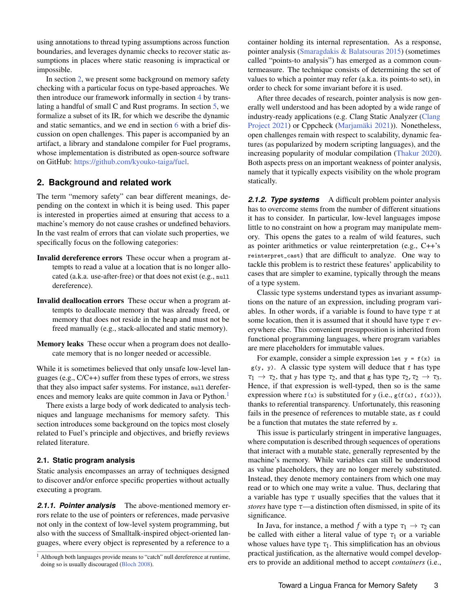using annotations to thread typing assumptions across function boundaries, and leverages dynamic checks to recover static assumptions in places where static reasoning is impractical or impossible.

In section [2,](#page-2-0) we present some background on memory safety checking with a particular focus on type-based approaches. We then introduce our framework informally in section [4](#page-6-0) by translating a handful of small C and Rust programs. In section [5,](#page-10-0) we formalize a subset of its IR, for which we describe the dynamic and static semantics, and we end in section [6](#page-16-0) with a brief discussion on open challenges. This paper is accompanied by an artifact, a library and standalone compiler for Fuel programs, whose implementation is distributed as open-source software on GitHub: [https://github.com/kyouko-taiga/fuel.](https://github.com/kyouko-taiga/fuel)

# <span id="page-2-0"></span>**2. Background and related work**

The term "memory safety" can bear different meanings, depending on the context in which it is being used. This paper is interested in properties aimed at ensuring that access to a machine's memory do not cause crashes or undefined behaviors. In the vast realm of errors that can violate such properties, we specifically focus on the following categories:

- Invalid dereference errors These occur when a program attempts to read a value at a location that is no longer allocated (a.k.a. use-after-free) or that does not exist (e.g., null dereference).
- Invalid deallocation errors These occur when a program attempts to deallocate memory that was already freed, or memory that does not reside in the heap and must not be freed manually (e.g., stack-allocated and static memory).
- Memory leaks These occur when a program does not deallocate memory that is no longer needed or accessible.

While it is sometimes believed that only unsafe low-level languages (e.g., C/C++) suffer from these types of errors, we stress that they also impact safer systems. For instance, null derefer-ences and memory leaks are quite common in Java or Python.<sup>[1](#page-0-0)</sup>

There exists a large body of work dedicated to analysis techniques and language mechanisms for memory safety. This section introduces some background on the topics most closely related to Fuel's principle and objectives, and briefly reviews related literature.

# **2.1. Static program analysis**

Static analysis encompasses an array of techniques designed to discover and/or enforce specific properties without actually executing a program.

*2.1.1. Pointer analysis* The above-mentioned memory errors relate to the use of pointers or references, made pervasive not only in the context of low-level system programming, but also with the success of Smalltalk-inspired object-oriented languages, where every object is represented by a reference to a

container holding its internal representation. As a response, pointer analysis [\(Smaragdakis & Balatsouras](#page-19-6) [2015\)](#page-19-6) (sometimes called "points-to analysis") has emerged as a common countermeasure. The technique consists of determining the set of values to which a pointer may refer (a.k.a. its points-to set), in order to check for some invariant before it is used.

After three decades of research, pointer analysis is now generally well understood and has been adopted by a wide range of industry-ready applications (e.g. Clang Static Analyzer [\(Clang](#page-17-4) [Project](#page-17-4) [2021\)](#page-17-4) or Cppcheck [\(Marjamäki](#page-19-7) [2021\)](#page-19-7)). Nonetheless, open challenges remain with respect to scalability, dynamic features (as popularized by modern scripting languages), and the increasing popularity of modular compilation [\(Thakur](#page-20-2) [2020\)](#page-20-2). Both aspects press on an important weakness of pointer analysis, namely that it typically expects visibility on the whole program statically.

**2.1.2. Type systems** A difficult problem pointer analysis has to overcome stems from the number of different situations it has to consider. In particular, low-level languages impose little to no constraint on how a program may manipulate memory. This opens the gates to a realm of wild features, such as pointer arithmetics or value reinterpretation (e.g., C++'s reinterpret\_cast) that are difficult to analyze. One way to tackle this problem is to restrict these features' applicability to cases that are simpler to examine, typically through the means of a type system.

Classic type systems understand types as invariant assumptions on the nature of an expression, including program variables. In other words, if a variable is found to have type *τ* at some location, then it is assumed that it should have type *τ* everywhere else. This convenient presupposition is inherited from functional programming languages, where program variables are mere placeholders for immutable values.

For example, consider a simple expression let  $y = f(x)$  in  $g(y, y)$ . A classic type system will deduce that f has type  $\tau_1 \rightarrow \tau_2$ , that y has type  $\tau_2$ , and that g has type  $\tau_2$ ,  $\tau_2 \rightarrow \tau_3$ . Hence, if that expression is well-typed, then so is the same expression where  $f(x)$  is substituted for y (i.e.,  $g(f(x), f(x))$ ), thanks to referential transparency. Unfortunately, this reasoning fails in the presence of references to mutable state, as f could be a function that mutates the state referred by x.

This issue is particularly stringent in imperative languages, where computation is described through sequences of operations that interact with a mutable state, generally represented by the machine's memory. While variables can still be understood as value placeholders, they are no longer merely substituted. Instead, they denote memory containers from which one may read or to which one may write a value. Thus, declaring that a variable has type *τ* usually specifies that the values that it *stores* have type *τ*—a distinction often dismissed, in spite of its significance.

In Java, for instance, a method *f* with a type  $\tau_1 \rightarrow \tau_2$  can be called with either a literal value of type  $\tau_1$  or a variable whose values have type  $\tau_1$ . This simplification has an obvious practical justification, as the alternative would compel developers to provide an additional method to accept *containers* (i.e.,

 $1$  Although both languages provide means to "catch" null dereference at runtime, doing so is usually discouraged [\(Bloch](#page-17-3) [2008\)](#page-17-3).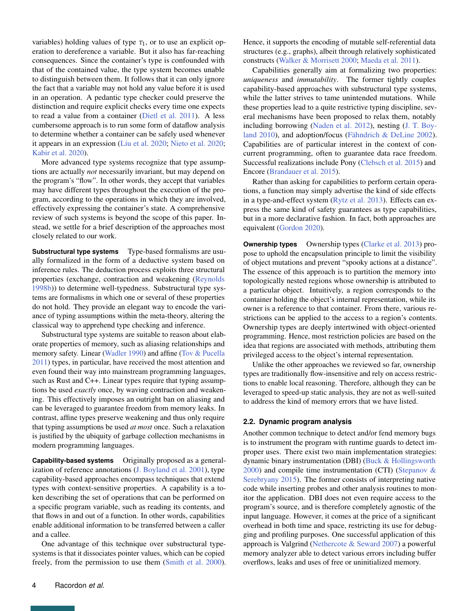variables) holding values of type  $\tau_1$ , or to use an explicit operation to dereference a variable. But it also has far-reaching consequences. Since the container's type is confounded with that of the contained value, the type system becomes unable to distinguish between them. It follows that it can only ignore the fact that a variable may not hold any value before it is used in an operation. A pedantic type checker could preserve the distinction and require explicit checks every time one expects to read a value from a container [\(Dietl et al.](#page-18-7) [2011\)](#page-18-7). A less cumbersome approach is to run some form of dataflow analysis to determine whether a container can be safely used whenever it appears in an expression [\(Liu et al.](#page-18-8) [2020;](#page-18-8) [Nieto et al.](#page-19-8) [2020;](#page-19-8) [Kabir et al.](#page-18-0) [2020\)](#page-18-0).

More advanced type systems recognize that type assumptions are actually *not* necessarily invariant, but may depend on the program's "flow". In other words, they accept that variables may have different types throughout the execution of the program, according to the operations in which they are involved, effectively expressing the container's state. A comprehensive review of such systems is beyond the scope of this paper. Instead, we settle for a brief description of the approaches most closely related to our work.

**Substructural type systems** Type-based formalisms are usually formalized in the form of a deductive system based on inference rules. The deduction process exploits three structural properties (exchange, contraction and weakening [\(Reynolds](#page-19-9) [1998b\)](#page-19-9)) to determine well-typedness. Substructural type systems are formalisms in which one or several of these properties do not hold. They provide an elegant way to encode the variance of typing assumptions within the meta-theory, altering the classical way to apprehend type checking and inference.

Substructural type systems are suitable to reason about elaborate properties of memory, such as aliasing relationships and memory safety. Linear [\(Wadler](#page-20-3) [1990\)](#page-20-3) and affine [\(Tov & Pucella](#page-20-4) [2011\)](#page-20-4) types, in particular, have received the most attention and even found their way into mainstream programming languages, such as Rust and C++. Linear types require that typing assumptions be used *exactly* once, by waving contraction and weakening. This effectively imposes an outright ban on aliasing and can be leveraged to guarantee freedom from memory leaks. In contrast, affine types preserve weakening and thus only require that typing assumptions be used *at most* once. Such a relaxation is justified by the ubiquity of garbage collection mechanisms in modern programming languages.

**Capability-based systems** Originally proposed as a generalization of reference annotations [\(J. Boyland et al.](#page-17-5) [2001\)](#page-17-5), type capability-based approaches encompass techniques that extend types with context-sensitive properties. A capability is a token describing the set of operations that can be performed on a specific program variable, such as reading its contents, and that flows in and out of a function. In other words, capabilities enable additional information to be transferred between a caller and a callee.

One advantage of this technique over substructural typesystems is that it dissociates pointer values, which can be copied freely, from the permission to use them [\(Smith et al.](#page-19-3) [2000\)](#page-19-3). Hence, it supports the encoding of mutable self-referential data structures (e.g., graphs), albeit through relatively sophisticated constructs [\(Walker & Morrisett](#page-20-5) [2000;](#page-20-5) [Maeda et al.](#page-18-9) [2011\)](#page-18-9).

Capabilities generally aim at formalizing two properties: *uniqueness* and *immutability*. The former tightly couples capability-based approaches with substructural type systems, while the latter strives to tame unintended mutations. While these properties lead to a quite restrictive typing discipline, several mechanisms have been proposed to relax them, notably including borrowing [\(Naden et al.](#page-19-4) [2012\)](#page-19-4), nesting [\(J. T. Boy](#page-17-6)[land](#page-17-6) [2010\)](#page-17-6), and adoption/focus [\(Fähndrich & DeLine](#page-18-10) [2002\)](#page-18-10). Capabilities are of particular interest in the context of concurrent programming, often to guarantee data race freedom. Successful realizations include Pony [\(Clebsch et al.](#page-17-7) [2015\)](#page-17-7) and Encore [\(Brandauer et al.](#page-17-8) [2015\)](#page-17-8).

Rather than asking for capabilities to perform certain operations, a function may simply advertise the kind of side effects in a type-and-effect system [\(Rytz et al.](#page-19-10) [2013\)](#page-19-10). Effects can express the same kind of safety guarantees as type capabilities, but in a more declarative fashion. In fact, both approaches are equivalent [\(Gordon](#page-18-11) [2020\)](#page-18-11).

**Ownership types** Ownership types [\(Clarke et al.](#page-17-2) [2013\)](#page-17-2) propose to uphold the encapsulation principle to limit the visibility of object mutations and prevent "spooky actions at a distance". The essence of this approach is to partition the memory into topologically nested regions whose ownership is attributed to a particular object. Intuitively, a region corresponds to the container holding the object's internal representation, while its owner is a reference to that container. From there, various restrictions can be applied to the access to a region's contents. Ownership types are deeply intertwined with object-oriented programming. Hence, most restriction policies are based on the idea that regions are associated with methods, attributing them privileged access to the object's internal representation.

Unlike the other approaches we reviewed so far, ownership types are traditionally flow-insensitive and rely on access restrictions to enable local reasoning. Therefore, although they can be leveraged to speed-up static analysis, they are not as well-suited to address the kind of memory errors that we have listed.

## **2.2. Dynamic program analysis**

Another common technique to detect and/or fend memory bugs is to instrument the program with runtime guards to detect improper uses. There exist two main implementation strategies: dynamic binary instrumentation (DBI) [\(Buck & Hollingsworth](#page-17-9) [2000\)](#page-17-9) and compile time instrumentation (CTI) [\(Stepanov &](#page-19-11) [Serebryany](#page-19-11) [2015\)](#page-19-11). The former consists of interpreting native code while inserting probes and other analysis routines to monitor the application. DBI does not even require access to the program's source, and is therefore completely agnostic of the input language. However, it comes at the price of a significant overhead in both time and space, restricting its use for debugging and profiling purposes. One successful application of this approach is Valgrind [\(Nethercote & Seward](#page-19-12) [2007\)](#page-19-12) a powerful memory analyzer able to detect various errors including buffer overflows, leaks and uses of free or uninitialized memory.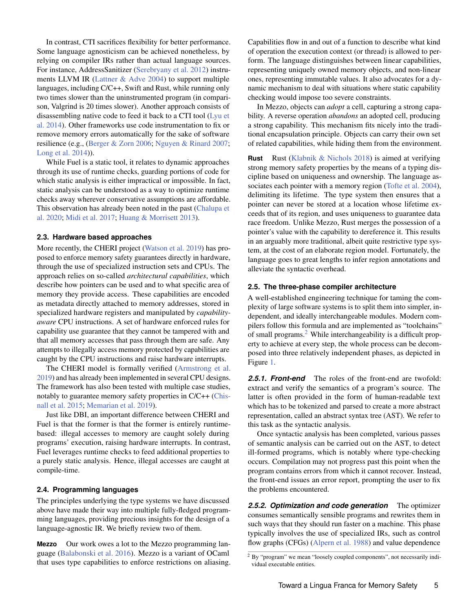In contrast, CTI sacrifices flexibility for better performance. Some language agnosticism can be achieved nonetheless, by relying on compiler IRs rather than actual language sources. For instance, AddressSanitizer [\(Serebryany et al.](#page-19-13) [2012\)](#page-19-13) instruments LLVM IR [\(Lattner & Adve](#page-18-4) [2004\)](#page-18-4) to support multiple languages, including C/C++, Swift and Rust, while running only two times slower than the uninstrumented program (in comparison, Valgrind is 20 times slower). Another approach consists of disassembling native code to feed it back to a CTI tool [\(Lyu et](#page-18-12) [al.](#page-18-12) [2014\)](#page-18-12). Other frameworks use code instrumentation to fix or remove memory errors automatically for the sake of software resilience (e.g., [\(Berger & Zorn](#page-17-10) [2006;](#page-17-10) [Nguyen & Rinard](#page-19-14) [2007;](#page-19-14) [Long et al.](#page-18-13) [2014\)](#page-18-13)).

While Fuel is a static tool, it relates to dynamic approaches through its use of runtime checks, guarding portions of code for which static analysis is either impractical or impossible. In fact, static analysis can be understood as a way to optimize runtime checks away wherever conservative assumptions are affordable. This observation has already been noted in the past [\(Chalupa et](#page-17-11) [al.](#page-17-11) [2020;](#page-17-11) [Midi et al.](#page-19-15) [2017;](#page-19-15) [Huang & Morrisett](#page-18-14) [2013\)](#page-18-14).

#### **2.3. Hardware based approaches**

More recently, the CHERI project [\(Watson et al.](#page-20-6) [2019\)](#page-20-6) has proposed to enforce memory safety guarantees directly in hardware, through the use of specialized instruction sets and CPUs. The approach relies on so-called *architectural capabilities*, which describe how pointers can be used and to what specific area of memory they provide access. These capabilities are encoded as metadata directly attached to memory addresses, stored in specialized hardware registers and manipulated by *capabilityaware* CPU instructions. A set of hardware enforced rules for capability use guarantee that they cannot be tampered with and that all memory accesses that pass through them are safe. Any attempts to illegally access memory protected by capabilities are caught by the CPU instructions and raise hardware interrupts.

The CHERI model is formally verified [\(Armstrong et al.](#page-17-12) [2019\)](#page-17-12) and has already been implemented in several CPU designs. The framework has also been tested with multiple case studies, notably to guarantee memory safety properties in C/C++ [\(Chis](#page-17-13)[nall et al.](#page-17-13) [2015;](#page-17-13) [Memarian et al.](#page-19-16) [2019\)](#page-19-16).

Just like DBI, an important difference between CHERI and Fuel is that the former is that the former is entirely runtimebased: illegal accesses to memory are caught solely during programs' execution, raising hardware interrupts. In contrast, Fuel leverages runtime checks to feed additional properties to a purely static analysis. Hence, illegal accesses are caught at compile-time.

#### **2.4. Programming languages**

The principles underlying the type systems we have discussed above have made their way into multiple fully-fledged programming languages, providing precious insights for the design of a language-agnostic IR. We briefly review two of them.

**Mezzo** Our work owes a lot to the Mezzo programming language [\(Balabonski et al.](#page-17-14) [2016\)](#page-17-14). Mezzo is a variant of OCaml that uses type capabilities to enforce restrictions on aliasing. Capabilities flow in and out of a function to describe what kind of operation the execution context (or thread) is allowed to perform. The language distinguishes between linear capabilities, representing uniquely owned memory objects, and non-linear ones, representing immutable values. It also advocates for a dynamic mechanism to deal with situations where static capability checking would impose too severe constraints.

In Mezzo, objects can *adopt* a cell, capturing a strong capability. A reverse operation *abandons* an adopted cell, producing a strong capability. This mechanism fits nicely into the traditional encapsulation principle. Objects can carry their own set of related capabilities, while hiding them from the environment.

**Rust** Rust [\(Klabnik & Nichols](#page-18-15) [2018\)](#page-18-15) is aimed at verifying strong memory safety properties by the means of a typing discipline based on uniqueness and ownership. The language associates each pointer with a memory region [\(Tofte et al.](#page-20-7) [2004\)](#page-20-7), delimiting its lifetime. The type system then ensures that a pointer can never be stored at a location whose lifetime exceeds that of its region, and uses uniqueness to guarantee data race freedom. Unlike Mezzo, Rust merges the possession of a pointer's value with the capability to dereference it. This results in an arguably more traditional, albeit quite restrictive type system, at the cost of an elaborate region model. Fortunately, the language goes to great lengths to infer region annotations and alleviate the syntactic overhead.

#### **2.5. The three-phase compiler architecture**

A well-established engineering technique for taming the complexity of large software systems is to split them into simpler, independent, and ideally interchangeable modules. Modern compilers follow this formula and are implemented as "toolchains" of small programs.[2](#page-0-0) While interchangeability is a difficult property to achieve at every step, the whole process can be decomposed into three relatively independent phases, as depicted in Figure [1.](#page-5-0)

*2.5.1. Front-end* The roles of the front-end are twofold: extract and verify the semantics of a program's source. The latter is often provided in the form of human-readable text which has to be tokenized and parsed to create a more abstract representation, called an abstract syntax tree (AST). We refer to this task as the syntactic analysis.

Once syntactic analysis has been completed, various passes of semantic analysis can be carried out on the AST, to detect ill-formed programs, which is notably where type-checking occurs. Compilation may not progress past this point when the program contains errors from which it cannot recover. Instead, the front-end issues an error report, prompting the user to fix the problems encountered.

*2.5.2. Optimization and code generation* The optimizer consumes semantically sensible programs and rewrites them in such ways that they should run faster on a machine. This phase typically involves the use of specialized IRs, such as control flow graphs (CFGs) [\(Alpern et al.](#page-17-15) [1988\)](#page-17-15) and value dependence

<sup>&</sup>lt;sup>2</sup> By "program" we mean "loosely coupled components", not necessarily individual executable entities.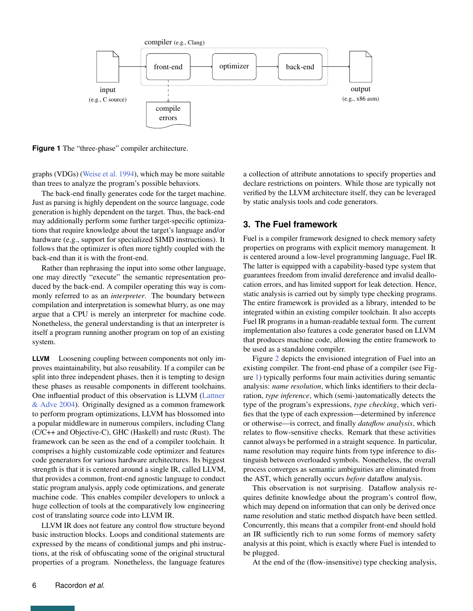<span id="page-5-0"></span>

**Figure 1** The "three-phase" compiler architecture.

graphs (VDGs) [\(Weise et al.](#page-20-8) [1994\)](#page-20-8), which may be more suitable than trees to analyze the program's possible behaviors.

The back-end finally generates code for the target machine. Just as parsing is highly dependent on the source language, code generation is highly dependent on the target. Thus, the back-end may additionally perform some further target-specific optimizations that require knowledge about the target's language and/or hardware (e.g., support for specialized SIMD instructions). It follows that the optimizer is often more tightly coupled with the back-end than it is with the front-end.

Rather than rephrasing the input into some other language, one may directly "execute" the semantic representation produced by the back-end. A compiler operating this way is commonly referred to as an *interpreter*. The boundary between compilation and interpretation is somewhat blurry, as one may argue that a CPU is merely an interpreter for machine code. Nonetheless, the general understanding is that an interpreter is itself a program running another program on top of an existing system.

**LLVM** Loosening coupling between components not only improves maintainability, but also reusability. If a compiler can be split into three independent phases, then it is tempting to design these phases as reusable components in different toolchains. One influential product of this observation is LLVM [\(Lattner](#page-18-4) [& Adve](#page-18-4) [2004\)](#page-18-4). Originally designed as a common framework to perform program optimizations, LLVM has blossomed into a popular middleware in numerous compilers, including Clang (C/C++ and Objective-C), GHC (Haskell) and rustc (Rust). The framework can be seen as the end of a compiler toolchain. It comprises a highly customizable code optimizer and features code generators for various hardware architectures. Its biggest strength is that it is centered around a single IR, called LLVM, that provides a common, front-end agnostic language to conduct static program analysis, apply code optimizations, and generate machine code. This enables compiler developers to unlock a huge collection of tools at the comparatively low engineering cost of translating source code into LLVM IR.

LLVM IR does not feature any control flow structure beyond basic instruction blocks. Loops and conditional statements are expressed by the means of conditional jumps and phi instructions, at the risk of obfuscating some of the original structural properties of a program. Nonetheless, the language features

a collection of attribute annotations to specify properties and declare restrictions on pointers. While those are typically not verified by the LLVM architecture itself, they can be leveraged by static analysis tools and code generators.

# **3. The Fuel framework**

Fuel is a compiler framework designed to check memory safety properties on programs with explicit memory management. It is centered around a low-level programming language, Fuel IR. The latter is equipped with a capability-based type system that guarantees freedom from invalid dereference and invalid deallocation errors, and has limited support for leak detection. Hence, static analysis is carried out by simply type checking programs. The entire framework is provided as a library, intended to be integrated within an existing compiler toolchain. It also accepts Fuel IR programs in a human-readable textual form. The current implementation also features a code generator based on LLVM that produces machine code, allowing the entire framework to be used as a standalone compiler.

Figure [2](#page-6-1) depicts the envisioned integration of Fuel into an existing compiler. The front-end phase of a compiler (see Figure [1\)](#page-5-0) typically performs four main activities during semantic analysis: *name resolution*, which links identifiers to their declaration, *type inference*, which (semi-)automatically detects the type of the program's expressions, *type checking*, which verifies that the type of each expression—determined by inference or otherwise—is correct, and finally *dataflow analysis*, which relates to flow-sensitive checks. Remark that these activities cannot always be performed in a straight sequence. In particular, name resolution may require hints from type inference to distinguish between overloaded symbols. Nonetheless, the overall process converges as semantic ambiguities are eliminated from the AST, which generally occurs *before* dataflow analysis.

This observation is not surprising. Dataflow analysis requires definite knowledge about the program's control flow, which may depend on information that can only be derived once name resolution and static method dispatch have been settled. Concurrently, this means that a compiler front-end should hold an IR sufficiently rich to run some forms of memory safety analysis at this point, which is exactly where Fuel is intended to be plugged.

At the end of the (flow-insensitive) type checking analysis,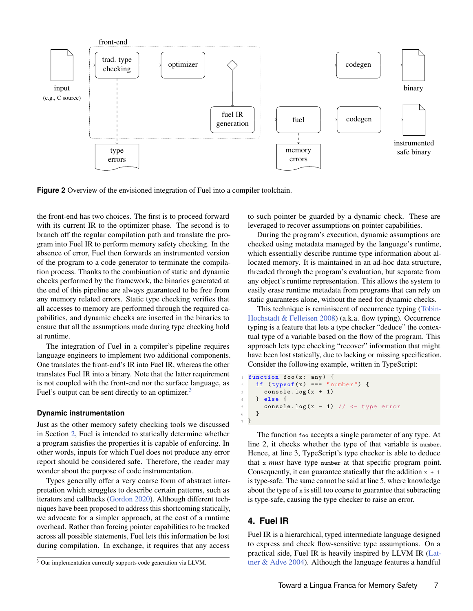<span id="page-6-1"></span>

**Figure 2** Overview of the envisioned integration of Fuel into a compiler toolchain.

the front-end has two choices. The first is to proceed forward with its current IR to the optimizer phase. The second is to branch off the regular compilation path and translate the program into Fuel IR to perform memory safety checking. In the absence of error, Fuel then forwards an instrumented version of the program to a code generator to terminate the compilation process. Thanks to the combination of static and dynamic checks performed by the framework, the binaries generated at the end of this pipeline are always guaranteed to be free from any memory related errors. Static type checking verifies that all accesses to memory are performed through the required capabilities, and dynamic checks are inserted in the binaries to ensure that all the assumptions made during type checking hold at runtime.

The integration of Fuel in a compiler's pipeline requires language engineers to implement two additional components. One translates the front-end's IR into Fuel IR, whereas the other translates Fuel IR into a binary. Note that the latter requirement is not coupled with the front-end nor the surface language, as Fuel's output can be sent directly to an optimizer.<sup>[3](#page-0-0)</sup>

#### **Dynamic instrumentation**

Just as the other memory safety checking tools we discussed in Section [2,](#page-2-0) Fuel is intended to statically determine whether a program satisfies the properties it is capable of enforcing. In other words, inputs for which Fuel does not produce any error report should be considered safe. Therefore, the reader may wonder about the purpose of code instrumentation.

Types generally offer a very coarse form of abstract interpretation which struggles to describe certain patterns, such as iterators and callbacks [\(Gordon](#page-18-11) [2020\)](#page-18-11). Although different techniques have been proposed to address this shortcoming statically, we advocate for a simpler approach, at the cost of a runtime overhead. Rather than forcing pointer capabilities to be tracked across all possible statements, Fuel lets this information be lost during compilation. In exchange, it requires that any access

to such pointer be guarded by a dynamic check. These are leveraged to recover assumptions on pointer capabilities.

During the program's execution, dynamic assumptions are checked using metadata managed by the language's runtime, which essentially describe runtime type information about allocated memory. It is maintained in an ad-hoc data structure, threaded through the program's evaluation, but separate from any object's runtime representation. This allows the system to easily erase runtime metadata from programs that can rely on static guarantees alone, without the need for dynamic checks.

This technique is reminiscent of occurrence typing [\(Tobin-](#page-20-9)[Hochstadt & Felleisen](#page-20-9) [2008\)](#page-20-9) (a.k.a. flow typing). Occurrence typing is a feature that lets a type checker "deduce" the contextual type of a variable based on the flow of the program. This approach lets type checking "recover" information that might have been lost statically, due to lacking or missing specification. Consider the following example, written in TypeScript:

```
function foo (x: any) {
    if (typeof(x) == "number") {
      console.log(x + 1)4 } else {
      console. log(x - 1) // <- type error
6 }
 7 }
```
The function foo accepts a single parameter of any type. At line 2, it checks whether the type of that variable is number. Hence, at line 3, TypeScript's type checker is able to deduce that x *must* have type number at that specific program point. Consequently, it can guarantee statically that the addition  $x + 1$ is type-safe. The same cannot be said at line 5, where knowledge about the type of  $x$  is still too coarse to guarantee that subtracting is type-safe, causing the type checker to raise an error.

# <span id="page-6-0"></span>**4. Fuel IR**

Fuel IR is a hierarchical, typed intermediate language designed to express and check flow-sensitive type assumptions. On a practical side, Fuel IR is heavily inspired by LLVM IR [\(Lat](#page-18-4)[tner & Adve](#page-18-4) [2004\)](#page-18-4). Although the language features a handful

<sup>&</sup>lt;sup>3</sup> Our implementation currently supports code generation via LLVM.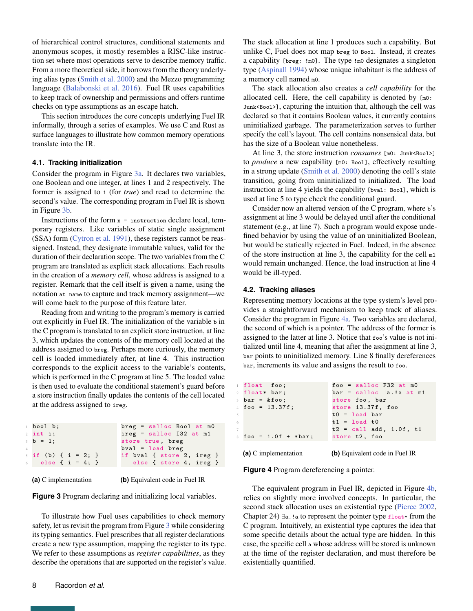of hierarchical control structures, conditional statements and anonymous scopes, it mostly resembles a RISC-like instruction set where most operations serve to describe memory traffic. From a more theoretical side, it borrows from the theory underlying alias types [\(Smith et al.](#page-19-3) [2000\)](#page-19-3) and the Mezzo programming language [\(Balabonski et al.](#page-17-14) [2016\)](#page-17-14). Fuel IR uses capabilities to keep track of ownership and permissions and offers runtime checks on type assumptions as an escape hatch.

This section introduces the core concepts underlying Fuel IR informally, through a series of examples. We use C and Rust as surface languages to illustrate how common memory operations translate into the IR.

#### **4.1. Tracking initialization**

Consider the program in Figure [3a.](#page-7-0) It declares two variables, one Boolean and one integer, at lines 1 and 2 respectively. The former is assigned to 1 (for *true*) and read to determine the second's value. The corresponding program in Fuel IR is shown in Figure [3b.](#page-7-0)

Instructions of the form  $x =$  instruction declare local, temporary registers. Like variables of static single assignment (SSA) form [\(Cytron et al.](#page-18-16) [1991\)](#page-18-16), these registers cannot be reassigned. Instead, they designate immutable values, valid for the duration of their declaration scope. The two variables from the C program are translated as explicit stack allocations. Each results in the creation of a *memory cell*, whose address is assigned to a register. Remark that the cell itself is given a name, using the notation at name to capture and track memory assignment—we will come back to the purpose of this feature later.

Reading from and writing to the program's memory is carried out explicitly in Fuel IR. The initialization of the variable b in the C program is translated to an explicit store instruction, at line 3, which updates the contents of the memory cell located at the address assigned to breg. Perhaps more curiously, the memory cell is loaded immediately after, at line 4. This instruction corresponds to the explicit access to the variable's contents, which is performed in the C program at line 5. The loaded value is then used to evaluate the conditional statement's guard before a store instruction finally updates the contents of the cell located at the address assigned to ireg.

<span id="page-7-0"></span>

| bool b;               | $breg = salloc Bool at m0$ |
|-----------------------|----------------------------|
| $2$ int i;            | $ireg = salloc$ I32 at m1  |
| $3 b = 1$ ;           | store true, breg           |
|                       | $bval = load breg$         |
| $5$ if (b) { i = 2; } | if byal { store 2, ireg }  |
| 6 else { $i = 4;$ }   | else { store 4, ireg }     |
|                       |                            |

**(a)** C implementation

**(b)** Equivalent code in Fuel IR

**Figure 3** Program declaring and initializing local variables.

To illustrate how Fuel uses capabilities to check memory safety, let us revisit the program from Figure [3](#page-7-0) while considering its typing semantics. Fuel prescribes that all register declarations create a new type assumption, mapping the register to its type. We refer to these assumptions as *register capabilities*, as they describe the operations that are supported on the register's value. The stack allocation at line 1 produces such a capability. But unlike C, Fuel does not map breg to Bool. Instead, it creates a capability [breg: !m0]. The type !m0 designates a singleton type [\(Aspinall](#page-17-16) [1994\)](#page-17-16) whose unique inhabitant is the address of a memory cell named m0.

The stack allocation also creates a *cell capability* for the allocated cell. Here, the cell capability is denoted by [m0: Junk<Bool>], capturing the intuition that, although the cell was declared so that it contains Boolean values, it currently contains uninitialized garbage. The parameterization serves to further specify the cell's layout. The cell contains nonsensical data, but has the size of a Boolean value nonetheless.

At line 3, the store instruction *consumes* [m0: Junk<Bool>] to *produce* a new capability [m0: Bool], effectively resulting in a strong update [\(Smith et al.](#page-19-3) [2000\)](#page-19-3) denoting the cell's state transition, going from uninitialized to initialized. The load instruction at line 4 yields the capability [bval: Bool], which is used at line 5 to type check the conditional guard.

Consider now an altered version of the C program, where b's assignment at line 3 would be delayed until after the conditional statement (e.g., at line 7). Such a program would expose undefined behavior by using the value of an uninitialized Boolean, but would be statically rejected in Fuel. Indeed, in the absence of the store instruction at line 3, the capability for the cell m1 would remain unchanged. Hence, the load instruction at line 4 would be ill-typed.

#### **4.2. Tracking aliases**

Representing memory locations at the type system's level provides a straightforward mechanism to keep track of aliases. Consider the program in Figure [4a.](#page-7-1) Two variables are declared, the second of which is a pointer. The address of the former is assigned to the latter at line 3. Notice that foo's value is not initialized until line 4, meaning that after the assignment at line 3, bar points to uninitialized memory. Line 8 finally dereferences bar, increments its value and assigns the result to foo.

<span id="page-7-1"></span>

|    | float foo;                  | $foo = salloc F32 at m0$                   |
|----|-----------------------------|--------------------------------------------|
|    | 2 float* bar;               | $bar =$ salloc $\exists a \cdot ! a$ at m1 |
|    | $3 \text{ bar} = \&foo$     | store foo, bar                             |
|    | $4$ foo = 13.37f;           | store $13.37f$ , foo                       |
| 5  |                             | $t0 =$ load bar                            |
| 6. |                             | $t1 = load t0$                             |
| 7  |                             | $t2 = call add, 1.0f, t1$                  |
|    | $\text{so } = 1.0f + *bar;$ | store t2, foo                              |
|    |                             |                                            |

**(a)** C implementation **(b)** Equivalent code in Fuel IR

**Figure 4** Program dereferencing a pointer.

The equivalent program in Fuel IR, depicted in Figure [4b,](#page-7-1) relies on slightly more involved concepts. In particular, the second stack allocation uses an existential type [\(Pierce](#page-19-17) [2002,](#page-19-17) Chapter 24) ∃a.!a to represent the pointer type float∗ from the C program. Intuitively, an existential type captures the idea that some specific details about the actual type are hidden. In this case, the specific cell a whose address will be stored is unknown at the time of the register declaration, and must therefore be existentially quantified.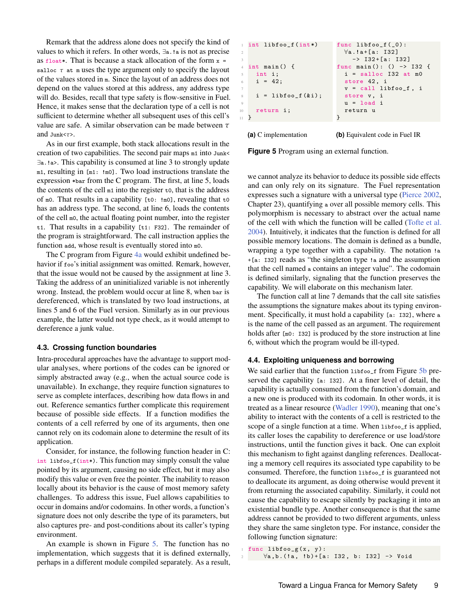Remark that the address alone does not specify the kind of values to which it refers. In other words, ∃a.!a is not as precise as float∗. That is because a stack allocation of the form x = salloc  $\tau$  at m uses the type argument only to specify the layout of the values stored in m. Since the layout of an address does not depend on the values stored at this address, any address type will do. Besides, recall that type safety is flow-sensitive in Fuel. Hence, it makes sense that the declaration type of a cell is not sufficient to determine whether all subsequent uses of this cell's value are safe. A similar observation can be made between *τ* and Junk<*τ*>.

As in our first example, both stack allocations result in the creation of two capabilities. The second pair maps m1 into Junk< ∃a.!a>. This capability is consumed at line 3 to strongly update m1, resulting in [m1: !m0]. Two load instructions translate the expression ∗bar from the C program. The first, at line 5, loads the contents of the cell  $m1$  into the register  $\tau$ o, that is the address of m0. That results in a capability [t0: !m0], revealing that t0 has an address type. The second, at line 6, loads the contents of the cell m0, the actual floating point number, into the register t1. That results in a capability [t1: F32]. The remainder of the program is straightforward. The call instruction applies the function add, whose result is eventually stored into m0.

The C program from Figure [4a](#page-7-1) would exhibit undefined behavior if foo's initial assignment was omitted. Remark, however, that the issue would not be caused by the assignment at line 3. Taking the address of an uninitialized variable is not inherently wrong. Instead, the problem would occur at line 8, when bar is dereferenced, which is translated by two load instructions, at lines 5 and 6 of the Fuel version. Similarly as in our previous example, the latter would not type check, as it would attempt to dereference a junk value.

#### **4.3. Crossing function boundaries**

Intra-procedural approaches have the advantage to support modular analyses, where portions of the codes can be ignored or simply abstracted away (e.g., when the actual source code is unavailable). In exchange, they require function signatures to serve as complete interfaces, describing how data flows in and out. Reference semantics further complicate this requirement because of possible side effects. If a function modifies the contents of a cell referred by one of its arguments, then one cannot rely on its codomain alone to determine the result of its application.

Consider, for instance, the following function header in C: int libfoo\_f(int∗). This function may simply consult the value pointed by its argument, causing no side effect, but it may also modify this value or even free the pointer. The inability to reason locally about its behavior is the cause of most memory safety challenges. To address this issue, Fuel allows capabilities to occur in domains and/or codomains. In other words, a function's signature does not only describe the type of its parameters, but also captures pre- and post-conditions about its caller's typing environment.

An example is shown in Figure [5.](#page-8-0) The function has no implementation, which suggests that it is defined externally, perhaps in a different module compiled separately. As a result,

<span id="page-8-0"></span>

**(a)** C implementation **(b)** Equivalent code in Fuel IR

**Figure 5** Program using an external function.

we cannot analyze its behavior to deduce its possible side effects and can only rely on its signature. The Fuel representation expresses such a signature with a universal type [\(Pierce](#page-19-17) [2002,](#page-19-17) Chapter 23), quantifying a over all possible memory cells. This polymorphism is necessary to abstract over the actual name of the cell with which the function will be called [\(Tofte et al.](#page-20-7) [2004\)](#page-20-7). Intuitively, it indicates that the function is defined for all possible memory locations. The domain is defined as a bundle, wrapping a type together with a capability. The notation !a +[a: I32] reads as "the singleton type !a and the assumption that the cell named a contains an integer value". The codomain is defined similarly, signaling that the function preserves the capability. We will elaborate on this mechanism later.

The function call at line 7 demands that the call site satisfies the assumptions the signature makes about its typing environment. Specifically, it must hold a capability [a: I32], where a is the name of the cell passed as an argument. The requirement holds after [mo: 132] is produced by the store instruction at line 6, without which the program would be ill-typed.

#### **4.4. Exploiting uniqueness and borrowing**

We said earlier that the function libfoo\_f from Figure [5b](#page-8-0) preserved the capability [a: I32]. At a finer level of detail, the capability is actually consumed from the function's domain, and a new one is produced with its codomain. In other words, it is treated as a linear resource [\(Wadler](#page-20-3) [1990\)](#page-20-3), meaning that one's ability to interact with the contents of a cell is restricted to the scope of a single function at a time. When libfoo\_f is applied, its caller loses the capability to dereference or use load/store instructions, until the function gives it back. One can exploit this mechanism to fight against dangling references. Deallocating a memory cell requires its associated type capability to be consumed. Therefore, the function libfoo\_f is guaranteed not to deallocate its argument, as doing otherwise would prevent it from returning the associated capability. Similarly, it could not cause the capability to escape silently by packaging it into an existential bundle type. Another consequence is that the same address cannot be provided to two different arguments, unless they share the same singleton type. For instance, consider the following function signature:

 $1$  func libfoo\_g(x, y): 2  $\forall a, b . (!a, !b) + [a: 132, b: 132]$  -> Void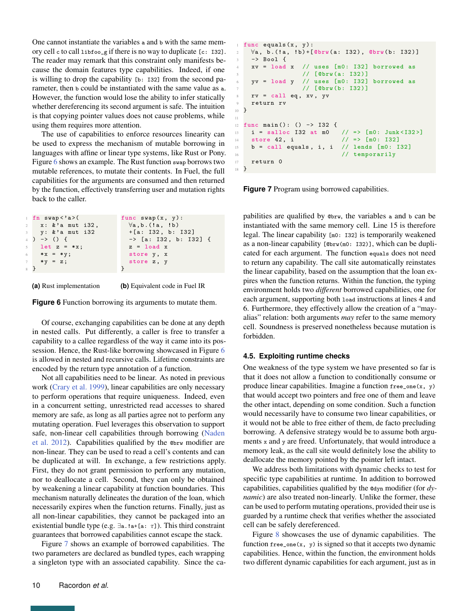One cannot instantiate the variables a and b with the same memory cell c to call libfoo\_g if there is no way to duplicate [c: I32]. The reader may remark that this constraint only manifests because the domain features type capabilities. Indeed, if one is willing to drop the capability [b: I32] from the second parameter, then b could be instantiated with the same value as a. However, the function would lose the ability to infer statically whether dereferencing its second argument is safe. The intuition is that copying pointer values does not cause problems, while using them requires more attention.

The use of capabilities to enforce resources linearity can be used to express the mechanism of mutable borrowing in languages with affine or linear type systems, like Rust or Pony. Figure [6](#page-9-0) shows an example. The Rust function swap borrows two mutable references, to mutate their contents. In Fuel, the full capabilities for the arguments are consumed and then returned by the function, effectively transferring user and mutation rights back to the caller.

<span id="page-9-0"></span>

|             | $1$ fn swap $\langle$ 'a> $($   | func $swap(x, y)$ :              |
|-------------|---------------------------------|----------------------------------|
|             | $2 \times 2$ : $\&$ a mut i32,  | $\forall a,b.$ (!a, !b)          |
|             | $\frac{1}{3}$ y: $\&$ a mut i32 | +[a: I32, b: I32]                |
|             | 4 ) $\rightarrow$ () {          | $\rightarrow$ [a: I32, b: I32] { |
|             | $5$ let $z = *x$ ;              | $z =$ load $x$                   |
|             | 6 $* x = * y;$                  | store y, x                       |
| $7^{\circ}$ | $*y = z;$                       | store z, y                       |
| 8 }         |                                 |                                  |

**(a)** Rust implementation

**(b)** Equivalent code in Fuel IR

**Figure 6** Function borrowing its arguments to mutate them.

Of course, exchanging capabilities can be done at any depth in nested calls. Put differently, a caller is free to transfer a capability to a callee regardless of the way it came into its possession. Hence, the Rust-like borrowing showcased in Figure [6](#page-9-0) is allowed in nested and recursive calls. Lifetime constraints are encoded by the return type annotation of a function.

Not all capabilities need to be linear. As noted in previous work [\(Crary et al.](#page-17-17) [1999\)](#page-17-17), linear capabilities are only necessary to perform operations that require uniqueness. Indeed, even in a concurrent setting, unrestricted read accesses to shared memory are safe, as long as all parties agree not to perform any mutating operation. Fuel leverages this observation to support safe, non-linear cell capabilities through borrowing [\(Naden](#page-19-4) [et al.](#page-19-4) [2012\)](#page-19-4). Capabilities qualified by the @brw modifier are non-linear. They can be used to read a cell's contents and can be duplicated at will. In exchange, a few restrictions apply. First, they do not grant permission to perform any mutation, nor to deallocate a cell. Second, they can only be obtained by weakening a linear capability at function boundaries. This mechanism naturally delineates the duration of the loan, which necessarily expires when the function returns. Finally, just as all non-linear capabilities, they cannot be packaged into an existential bundle type (e.g. ∃a.!a+[a: *τ*]). This third constraint guarantees that borrowed capabilities cannot escape the stack.

Figure [7](#page-9-1) shows an example of borrowed capabilities. The two parameters are declared as bundled types, each wrapping a singleton type with an associated capability. Since the ca-

```
func equals(x, y):
   \forall a, b. (!a, !b) + [@brw(a: 132), @brw(b: 132)]3 −> Bool {
   xy = load x // uses [m0: I32] borrowed as
                5 // [ @brw (a: I32 )]
    yv = load y // uses [m0: 132] borrowed as
                // [@brw(b: I32)]
    rv = call eq, xv, yvreturn rv
10 }
12 func main () : () −> I32 {
13 i = salloc I32 at m0 // => [m0: Junk <I32>]
14 store 42, i \frac{1}{2} => [m0: I32]
15 b = call equals, i, i // lends [m0: 132]16 // temporarily
17 return 0
18 }
```
**Figure 7** Program using borrowed capabilities.

11

pabilities are qualified by @brw, the variables a and b can be instantiated with the same memory cell. Line 15 is therefore legal. The linear capability [m0: I32] is temporarily weakened as a non-linear capability [@brw(m0: I32)], which can be duplicated for each argument. The function equals does not need to return any capability. The call site automatically reinstates the linear capability, based on the assumption that the loan expires when the function returns. Within the function, the typing environment holds two *different* borrowed capabilities, one for each argument, supporting both load instructions at lines 4 and 6. Furthermore, they effectively allow the creation of a "mayalias" relation: both arguments *may* refer to the same memory cell. Soundness is preserved nonetheless because mutation is forbidden.

## **4.5. Exploiting runtime checks**

One weakness of the type system we have presented so far is that it does not allow a function to conditionally consume or produce linear capabilities. Imagine a function free\_one(x, y) that would accept two pointers and free one of them and leave the other intact, depending on some condition. Such a function would necessarily have to consume two linear capabilities, or it would not be able to free either of them, de facto precluding borrowing. A defensive strategy would be to assume both arguments x and y are freed. Unfortunately, that would introduce a memory leak, as the call site would definitely lose the ability to deallocate the memory pointed by the pointer left intact.

We address both limitations with dynamic checks to test for specific type capabilities at runtime. In addition to borrowed capabilities, capabilities qualified by the @dyn modifier (for *dynamic*) are also treated non-linearly. Unlike the former, these can be used to perform mutating operations, provided their use is guarded by a runtime check that verifies whether the associated cell can be safely dereferenced.

Figure [8](#page-10-1) showcases the use of dynamic capabilities. The function  $free\_one(x, y)$  is signed so that it accepts two dynamic capabilities. Hence, within the function, the environment holds two different dynamic capabilities for each argument, just as in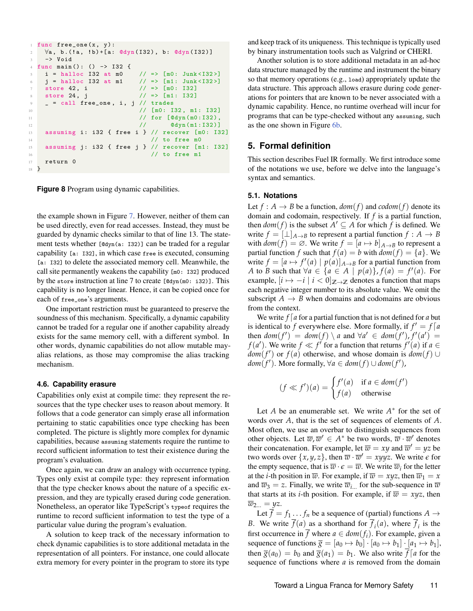```
1 func free_one(x, y):
     \forall a, b. ('a, 'b) + [a: @dyn(I32), b: @dyn(I32)]3 −> Void
4 func main () : () −> I32 {
     i = \text{halloc } I32 \text{ at } m0 // => [m0: \text{ Junk} < I32>]j = \text{halloc } I32 \text{ at } m1 // => [m1: \text{ Junk} < I32>]
     store 42, i \frac{7}{2} // => [m0: 132]8 store 24, j \frac{1}{2} // => [m1: I32]
     = call free_one, i, j // trades
10 \frac{1}{2} \frac{1}{2} \frac{1}{2} \frac{1}{2} \frac{1}{2} \frac{1}{2} \frac{1}{2} \frac{1}{2} \frac{1}{2} \frac{1}{2} \frac{1}{2} \frac{1}{2} \frac{1}{2} \frac{1}{2} \frac{1}{2} \frac{1}{2} \frac{1}{2} \frac{1}{2} \frac{1}{2} \frac{1}{2} \frac{1}{2} \frac{1}{11 // for [Odyn (m0: I32),
12 // @dyn (m1:I32 )]
13 assuming i: i32 { free i } // recover [m0: I32]
\frac{14}{14} // to free m0
15 assuming j: i32 { free j } // recover [m1: I32 ]
16 // to free m1
17 return 0
18 }
```
**Figure 8** Program using dynamic capabilities.

the example shown in Figure [7.](#page-9-1) However, neither of them can be used directly, even for read accesses. Instead, they must be guarded by dynamic checks similar to that of line 13. The statement tests whether [@dyn(a: I32)] can be traded for a regular capability [a: I32], in which case free is executed, consuming [a: I32] to delete the associated memory cell. Meanwhile, the call site permanently weakens the capability [m0: I32] produced by the store instruction at line 7 to create  $[$  @dyn(m0: i32)]. This capability is no longer linear. Hence, it can be copied once for each of free\_one's arguments.

One important restriction must be guaranteed to preserve the soundness of this mechanism. Specifically, a dynamic capability cannot be traded for a regular one if another capability already exists for the same memory cell, with a different symbol. In other words, dynamic capabilities do not allow mutable mayalias relations, as those may compromise the alias tracking mechanism.

#### **4.6. Capability erasure**

Capabilities only exist at compile time: they represent the resources that the type checker uses to reason about memory. It follows that a code generator can simply erase all information pertaining to static capabilities once type checking has been completed. The picture is slightly more complex for dynamic capabilities, because assuming statements require the runtime to record sufficient information to test their existence during the program's evaluation.

Once again, we can draw an analogy with occurrence typing. Types only exist at compile type: they represent information that the type checker knows about the nature of a specific expression, and they are typically erased during code generation. Nonetheless, an operator like TypeScript's typeof requires the runtime to record sufficient information to test the type of a particular value during the program's evaluation.

A solution to keep track of the necessary information to check dynamic capabilities is to store additional metadata in the representation of all pointers. For instance, one could allocate extra memory for every pointer in the program to store its type and keep track of its uniqueness. This technique is typically used by binary instrumentation tools such as Valgrind or CHERI.

Another solution is to store additional metadata in an ad-hoc data structure managed by the runtime and instrument the binary so that memory operations (e.g., load) appropriately update the data structure. This approach allows erasure during code generations for pointers that are known to be never associated with a dynamic capability. Hence, no runtime overhead will incur for programs that can be type-checked without any assuming, such as the one shown in Figure [6b.](#page-9-0)

# <span id="page-10-0"></span>**5. Formal definition**

This section describes Fuel IR formally. We first introduce some of the notations we use, before we delve into the language's syntax and semantics.

## **5.1. Notations**

Let  $f : A \rightarrow B$  be a function,  $dom(f)$  and  $codom(f)$  denote its domain and codomain, respectively. If *f* is a partial function, then  $dom(f)$  is the subset  $A' \subseteq A$  for which  $\overline{f}$  is defined. We write  $f = [\perp]_{A \to B}$  to represent a partial function  $f : A \to B$ with  $dom(f) = \emptyset$ . We write  $f = [a \mapsto b]_{A \to B}$  to represent a partial function *f* such that  $f(a) = b$  with  $dom(f) = \{a\}$ . We write  $f = [a \mapsto f'(a) \mid p(a)]_{A \to B}$  for a partial function from *A* to *B* such that  $\forall a \in \{a \in A \mid p(a)\}, f(a) = f'(a)$ . For example,  $[i \mapsto -i \mid i < 0]_{\mathbb{Z} \to \mathbb{Z}}$  denotes a function that maps each negative integer number to its absolute value. We omit the subscript  $A \rightarrow B$  when domains and codomains are obvious from the context.

We write  $f \mid a$  for a partial function that is not defined for  $a$  but is identical to *f* everywhere else. More formally, if  $f' = f[a]$ then  $dom(f') = dom(f) \setminus a$  and  $\forall a' \in dom(f'), f'(a') =$ *f*(*a*<sup> $\prime$ </sup>). We write *f*  $\ll f$ <sup> $\prime$ </sup> for a function that returns *f*<sup> $\prime$ </sup>(*a*) if *a*  $\in$  $dom(f')$  or  $f(a)$  otherwise, and whose domain is  $dom(f) \cup$  $dom(f')$ . More formally,  $\forall a \in dom(f) \cup dom(f')$ ,

$$
(f \ll f')(a) = \begin{cases} f'(a) & \text{if } a \in dom(f')\\ f(a) & \text{otherwise} \end{cases}
$$

Let *A* be an enumerable set. We write  $A^*$  for the set of words over *A*, that is the set of sequences of elements of *A*. Most often, we use an overbar to distinguish sequences from other objects. Let  $\overline{w}$ ,  $\overline{w}' \in A^*$  be two words,  $\overline{w} \cdot \overline{w}'$  denotes their concatenation. For example, let  $\overline{w} = xy$  and  $\overline{w}' = yz$  be two words over  $\{x, y, z\}$ , then  $\overline{w} \cdot \overline{w}' = xyyz$ . We write  $\epsilon$  for the empty sequence, that is  $\overline{w} \cdot \epsilon = \overline{w}$ . We write  $\overline{w}_i$  for the letter at the *i*-th position in  $\overline{w}$ . For example, if  $\overline{w} = xyz$ , then  $\overline{w}_1 = x$ and  $\overline{w}_3 = z$ . Finally, we write  $\overline{w}_{i}$  for the sub-sequence in  $\overline{w}$ that starts at its *i*-th position. For example, if  $\overline{w} = xyz$ , then  $\overline{w}_{2...} = yz.$ 

Let  $\overline{f} = f_1 \dots f_n$  be a sequence of (partial) functions  $A \rightarrow$ *B*. We write  $f(a)$  as a shorthand for  $f_i(a)$ , where  $f_i$  is the first occurrence in  $\overline{f}$  where  $a \in dom(f_i)$ . For example, given a sequence of functions  $\overline{g} = [a_0 \mapsto b_0] \cdot [a_0 \mapsto b_1] \cdot [a_1 \mapsto b_1],$ then  $\overline{g}(a_0) = b_0$  and  $\overline{g}(a_1) = b_1$ . We also write  $\overline{f}$   $\overline{f}$  a for the sequence of functions where *a* is removed from the domain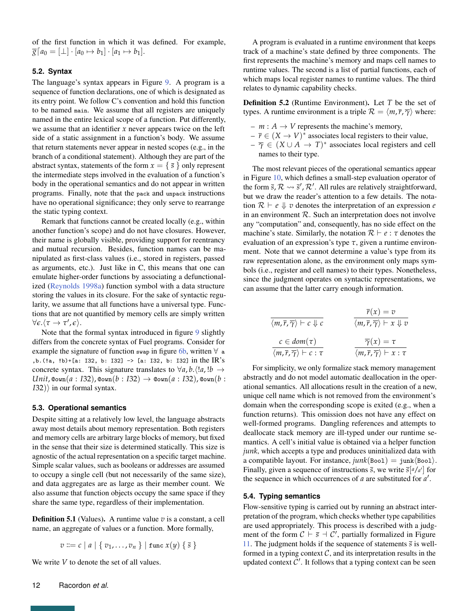of the first function in which it was defined. For example,  $\overline{g}$   $[a_0 = [\perp] \cdot [a_0 \mapsto b_1] \cdot [a_1 \mapsto b_1].$ 

## **5.2. Syntax**

The language's syntax appears in Figure [9.](#page-12-0) A program is a sequence of function declarations, one of which is designated as its entry point. We follow C's convention and hold this function to be named main. We assume that all registers are uniquely named in the entire lexical scope of a function. Put differently, we assume that an identifier *x* never appears twice on the left side of a static assignment in a function's body. We assume that return statements never appear in nested scopes (e.g., in the branch of a conditional statement). Although they are part of the abstract syntax, statements of the form  $x = \{\bar{s}\}\$ only represent the intermediate steps involved in the evaluation of a function's body in the operational semantics and do not appear in written programs. Finally, note that the pack and unpack instructions have no operational significance; they only serve to rearrange the static typing context.

Remark that functions cannot be created locally (e.g., within another function's scope) and do not have closures. However, their name is globally visible, providing support for reentrancy and mutual recursion. Besides, function names can be manipulated as first-class values (i.e., stored in registers, passed as arguments, etc.). Just like in C, this means that one can emulate higher-order functions by associating a defunctionalized [\(Reynolds](#page-19-18) [1998a\)](#page-19-18) function symbol with a data structure storing the values in its closure. For the sake of syntactic regularity, we assume that all functions have a universal type. Functions that are not quantified by memory cells are simply written  $\forall \epsilon. \langle \tau \rightarrow \tau', \epsilon \rangle.$ 

Note that the formal syntax introduced in figure [9](#page-12-0) slightly differs from the concrete syntax of Fuel programs. Consider for example the signature of function swap in figure [6b,](#page-9-0) written  $\forall$  a ,b.(!a, !b)+[a: I32, b: I32] −> [a: I32, b: I32] in the IR's concrete syntax. This signature translates to  $\forall a, b. \langle a, b \rangle \rightarrow$  $Unit$ ,  $A = I32$ ,  $B = I32$ ,  $B = I32$   $\rightarrow$   $B = I32$ ,  $B = I32$ ,  $B = I32$ *I*32)⟩ in our formal syntax.

## **5.3. Operational semantics**

Despite sitting at a relatively low level, the language abstracts away most details about memory representation. Both registers and memory cells are arbitrary large blocks of memory, but fixed in the sense that their size is determined statically. This size is agnostic of the actual representation on a specific target machine. Simple scalar values, such as booleans or addresses are assumed to occupy a single cell (but not necessarily of the same size), and data aggregates are as large as their member count. We also assume that function objects occupy the same space if they share the same type, regardless of their implementation.

**Definition 5.1** (Values). A runtime value *v* is a constant, a cell name, an aggregate of values or a function. More formally,

$$
v ::= c | a | \{ v_1, \ldots, v_n \} | \text{func } x(y) \{ \overline{s} \}
$$

We write *V* to denote the set of all values.

Definition 5.2 (Runtime Environment). Let *T* be the set of types. A runtime environment is a triple  $\mathcal{R} = \langle m, \overline{r}, \overline{\gamma} \rangle$  where:

- $m : A \rightarrow V$  represents the machine's memory,
- $-\bar{r} \in (X \to V)^*$  associates local registers to their value,
- $-\overline{\gamma} \in (X \cup A) \to T$ <sup>\*</sup> associates local registers and cell names to their type.

The most relevant pieces of the operational semantics appear in Figure [10,](#page-13-0) which defines a small-step evaluation operator of the form  $\bar{s}$ ,  $\mathcal{R} \rightsquigarrow \bar{s}'$ ,  $\mathcal{R}'$ . All rules are relatively straightforward, but we draw the reader's attention to a few details. The notation  $\mathcal{R} \vdash e \Downarrow v$  denotes the interpretation of an expression *e* in an environment  $R$ . Such an interpretation does not involve any "computation" and, consequently, has no side effect on the machine's state. Similarly, the notation  $\mathcal{R} \vdash e : \tau$  denotes the evaluation of an expression's type *τ*, given a runtime environment. Note that we cannot determine a value's type from its raw representation alone, as the environment only maps symbols (i.e., register and cell names) to their types. Nonetheless, since the judgment operates on syntactic representations, we can assume that the latter carry enough information.

$$
\overline{\langle m, \overline{r}, \overline{\gamma} \rangle \vdash c \Downarrow c} \qquad \overline{\langle m, \overline{r}, \overline{\gamma} \rangle \vdash x \Downarrow v}
$$
\n
$$
\overline{\langle m, \overline{r}, \overline{\gamma} \rangle \vdash x \Downarrow v}
$$
\n
$$
\overline{\langle m, \overline{r}, \overline{\gamma} \rangle \vdash c : \tau} \qquad \overline{\langle m, \overline{r}, \overline{\gamma} \rangle \vdash x : \tau}
$$

For simplicity, we only formalize stack memory management abstractly and do not model automatic deallocation in the operational semantics. All allocations result in the creation of a new, unique cell name which is not removed from the environment's domain when the corresponding scope is exited (e.g., when a function returns). This omission does not have any effect on well-formed programs. Dangling references and attempts to deallocate stack memory are ill-typed under our runtime semantics. A cell's initial value is obtained via a helper function *junk*, which accepts a type and produces uninitialized data with a compatible layout. For instance,  $junk(Bool) = junk(Bool)$ . Finally, given a sequence of instructions  $\overline{s}$ , we write  $\overline{s}[a/a']$  for the sequence in which occurrences of *a* are substituted for *a* ′ .

## **5.4. Typing semantics**

Flow-sensitive typing is carried out by running an abstract interpretation of the program, which checks whether type capabilities are used appropriately. This process is described with a judgment of the form  $C \vdash \bar{s} \dashv C'$ , partially formalized in Figure [11.](#page-14-0) The judgment holds if the sequence of statements  $\bar{s}$  is wellformed in a typing context  $C$ , and its interpretation results in the updated context  $C'$ . It follows that a typing context can be seen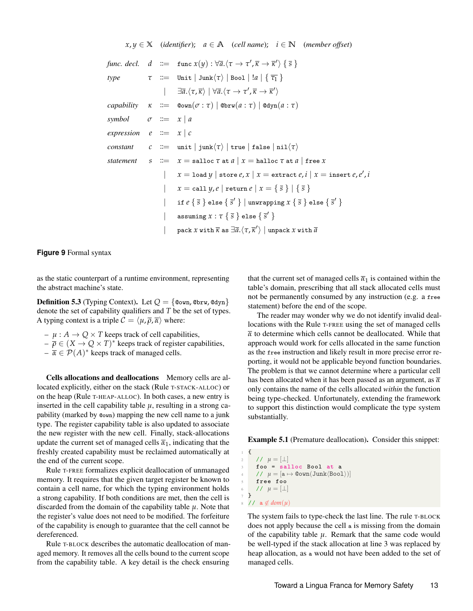<span id="page-12-0"></span>
$$
x, y \in \mathbb{X} \quad (identifier); \quad a \in \mathbb{A} \quad (cell name); \quad i \in \mathbb{N} \quad (member offset)
$$
\n
$$
func. \, decl. \quad d \quad ::= \quad func \, x(y) : \forall \overline{a}. \langle \tau \to \tau', \overline{\kappa} \to \overline{\kappa}' \rangle \{ \overline{s} \}
$$
\n
$$
type \qquad \tau \quad ::= \quad Unit \mid \text{Junk}(\tau) \mid \text{Bool} \mid !a \mid \{ \overline{\tau_1} \}
$$
\n
$$
= \exists \overline{a}. \langle \tau, \overline{\kappa} \rangle \mid \forall \overline{a}. \langle \tau \to \tau', \overline{\kappa} \to \overline{\kappa}' \rangle
$$
\n
$$
capability \quad \kappa \quad ::= \quad \text{Qown}(\sigma : \tau) \mid \text{Obrw}(a : \tau) \mid \text{Odyn}(a : \tau)
$$
\n
$$
symbol \quad \sigma \quad ::= \quad x \mid a
$$
\n
$$
expression \quad e \quad ::= \quad x \mid c
$$
\n
$$
constant \qquad c \quad ::= \quad unit \mid \text{junk}(\tau) \mid \text{true} \mid \text{false} \mid \text{nil}(\tau)
$$
\n
$$
statement \qquad s \quad ::= \quad x = \text{salloc} \, \tau \text{ at } a \mid x = \text{halloc} \, \tau \text{ at } a \mid \text{free } x
$$
\n
$$
= \quad x = \text{salloc} \, \tau \text{ at } a \mid x = \text{extract } e, i \mid x = \text{insert } e, e', i
$$
\n
$$
= \quad x = \text{call } y, e \mid \text{return } e \mid x = \{ \overline{s} \} \mid \{ \overline{s} \}
$$
\n
$$
= \quad \text{issuming } x : \tau \{ \overline{s} \} \text{else } \{ \overline{s}' \} \}
$$
\n
$$
= \quad \text{assuming } x : \tau \{ \overline{s} \} \text{else } \{ \overline{s}' \} \}
$$
\n
$$
= \quad \text{pack } x \text{ with } \overline{a}
$$

**Figure 9** Formal syntax

as the static counterpart of a runtime environment, representing the abstract machine's state.

**Definition 5.3** (Typing Context). Let  $Q = \{\text{down}, \text{obrw}, \text{bdyn}\}\$ denote the set of capability qualifiers and *T* be the set of types. A typing context is a triple  $C = \langle \mu, \overline{\rho}, \overline{\alpha} \rangle$  where:

- $\mu : A \rightarrow Q \times T$  keeps track of cell capabilities,
- $-\overline{\rho} \in (X \to Q \times T)^*$  keeps track of register capabilities,
- $-\bar{\alpha} \in \mathcal{P}(A)^*$  keeps track of managed cells.

Cells allocations and deallocations Memory cells are allocated explicitly, either on the stack (Rule T-STACK-ALLOC) or on the heap (Rule T-HEAP-ALLOC). In both cases, a new entry is inserted in the cell capability table  $\mu$ , resulting in a strong capability (marked by @own) mapping the new cell name to a junk type. The register capability table is also updated to associate the new register with the new cell. Finally, stack-allocations update the current set of managed cells  $\bar{\alpha}_1$ , indicating that the freshly created capability must be reclaimed automatically at the end of the current scope.

Rule T-FREE formalizes explicit deallocation of unmanaged memory. It requires that the given target register be known to contain a cell name, for which the typing environment holds a strong capability. If both conditions are met, then the cell is discarded from the domain of the capability table *µ*. Note that the register's value does not need to be modified. The forfeiture of the capability is enough to guarantee that the cell cannot be dereferenced.

Rule T-BLOCK describes the automatic deallocation of managed memory. It removes all the cells bound to the current scope from the capability table. A key detail is the check ensuring

that the current set of managed cells  $\bar{\alpha}_1$  is contained within the table's domain, prescribing that all stack allocated cells must not be permanently consumed by any instruction (e.g. a free statement) before the end of the scope.

The reader may wonder why we do not identify invalid deallocations with the Rule T-FREE using the set of managed cells  $\bar{\alpha}$  to determine which cells cannot be deallocated. While that approach would work for cells allocated in the same function as the free instruction and likely result in more precise error reporting, it would not be applicable beyond function boundaries. The problem is that we cannot determine where a particular cell has been allocated when it has been passed as an argument, as  $\bar{\alpha}$ only contains the name of the cells allocated *within* the function being type-checked. Unfortunately, extending the framework to support this distinction would complicate the type system substantially.

Example 5.1 (Premature deallocation). Consider this snippet:

 $\mathfrak{t}$  $2 / / \mu = [\perp]$  $f \circ \circ = \text{salloc}$  Bool at a  $1 / \mu = [a \mapsto \text{Down}(Junk\langle \text{Bool}\rangle)]$ <sup>5</sup> free foo *(// µ* = [⊥] <sup>1</sup>  $1/$  a  $\notin dom(\mu)$ 

The system fails to type-check the last line. The rule T-BLOCK does not apply because the cell a is missing from the domain of the capability table  $\mu$ . Remark that the same code would be well-typed if the stack allocation at line 3 was replaced by heap allocation, as a would not have been added to the set of managed cells.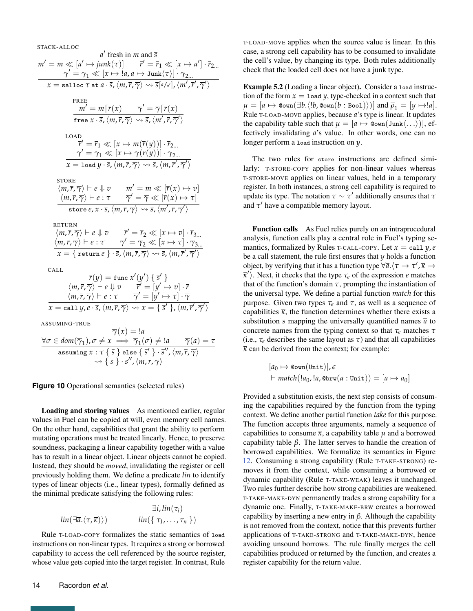<span id="page-13-0"></span>STACK-ALLOC

*a* fresh in *m* and *s*  $a'$  fresh in m and  $\overline{s}$  $m' = m \ll [a' \mapsto junk(\tau)] \qquad \bar{r}' = \bar{r}_1 \ll [x \mapsto a'] \cdot \bar{r}_{2...}$  $\overline{\gamma}' = \overline{\gamma}_1 \ll [x \mapsto !a, a \mapsto \text{Junk}\langle \tau \rangle] \cdot \overline{\gamma}_{2...}$  $x = \texttt{salloc}~\tau~\texttt{at}~a\cdot\overline{s},\langle m,\overline{r},\overline{\gamma}\rangle \leadsto \overline{s}[^{a/a'}], \langle m',\overline{r}',\overline{\gamma}'\rangle$ FREE  $\overline{m'} = m[\overline{r}(x) \quad \overline{\gamma'} = \overline{\gamma}[\overline{r}(x)]$  $\overline{\textsf{free}~x \cdot \overline{\textsf{s}}}, \langle m, \overline{r}, \overline{\gamma} \rangle \leadsto \overline{\textsf{s}}, \langle m', \overline{r}, \overline{\gamma}' \rangle$ LOAD  $\overline{r}' = \overline{r}_1 \ll [x \mapsto m(\overline{r}(y))] \cdot \overline{r}_{2...}$  $\overline{\gamma}' = \overline{\gamma}_1 \ll [x \mapsto \overline{\gamma}(\overline{r}(y))] \cdot \overline{\gamma}_{2...}$  $\chi=\text{\tt load}\, y\cdot \bar s$ ,  $\langle m, \overline r, \overline\gamma\rangle \leadsto \bar s$ ,  $\langle m, \overline r', \overline\gamma'\rangle$ **STORE**  $\langle m, \overline{r}, \overline{\gamma} \rangle \vdash e \Downarrow v \qquad m' = m \ll [\overline{r}(x) \mapsto v]$  $\langle m, \overline{r}, \overline{\gamma} \rangle \vdash e : \tau \qquad \overline{\gamma}' = \overline{\gamma} \ll [\overline{r}(x) \mapsto \tau]$  $\overline{\text{store } e,x\cdot \overline{s}}, \langle m,\overline{r},\overline{\gamma} \rangle \leadsto \overline{s}, \langle m',\overline{r},\overline{\gamma'} \rangle$ RETURN  $\langle m, \overline{r}, \overline{\gamma} \rangle \vdash e \Downarrow v \qquad \overline{r}' = \overline{r}_2 \ll [x \mapsto v] \cdot \overline{r}_{3...}$  $\langle m, \overline{r}, \overline{\gamma} \rangle \vdash e : \tau \quad \overline{\gamma}' = \overline{\gamma}_2 \ll [x \mapsto \tau] \cdot \overline{\gamma}_{3...}$  $\overline{x} = \{ \text{ return } e \} \cdot \overline{s}, \langle m, \overline{r}, \overline{\gamma} \rangle \leadsto \overline{s}, \langle m, \overline{r}', \overline{\gamma}' \rangle$ CALL  $\overline{r}(y) = \text{func } x'(y') \{ \overline{s}' \}$  $\langle m, \overline{r}, \overline{\gamma} \rangle \stackrel{\sim}{\vdash} e \Downarrow v \qquad \overline{r}' = [y' \mapsto v] \cdot \overline{r}$  $\langle m,\overline{r},\overline{\gamma}\rangle\vdash e:\tau$   $\overline{\gamma}'=[\overline{y}'\mapsto\tau]\cdot\overline{\gamma}$  $x=\text{call }y, e\cdot \overline{s},\langle m, \overline{r}, \overline{\gamma}\rangle \leadsto x=\{\ \overline{s}'\ \},\langle m, \overline{r}', \overline{\gamma}'\rangle$ ASSUMING-TRUE  $\overline{\gamma}(x) = !a$  $\forall \sigma \in dom(\overline{\gamma}_1), \sigma \neq x \implies \overline{\gamma}_1(\sigma) \neq !a \qquad \overline{\gamma}(a) = \tau$  $\overline{\text{assuming } x : \tau\Set{\bar{s}} \text{else} \Set{\bar{s}'} \cdot \overline{s}'', \langle m, \overline{r}, \overline{\gamma} \rangle}$ 

#### **Figure 10** Operational semantics (selected rules)

Loading and storing values As mentioned earlier, regular values in Fuel can be copied at will, even memory cell names. On the other hand, capabilities that grant the ability to perform mutating operations must be treated linearly. Hence, to preserve soundness, packaging a linear capability together with a value has to result in a linear object. Linear objects cannot be copied. Instead, they should be *moved*, invalidating the register or cell previously holding them. We define a predicate *lin* to identify types of linear objects (i.e., linear types), formally defined as the minimal predicate satisfying the following rules:

⇝ { *s* } · *s* ′′ ,⟨*m*,*r*, *γ*⟩

$$
\frac{\exists i, lin(\tau_i)}{lin(\exists \bar{a}. \langle \tau, \bar{\kappa} \rangle)} \qquad \qquad \frac{\exists i, lin(\tau_i)}{lin(\{\tau_1, ..., \tau_n\})}
$$

Rule T-LOAD-COPY formalizes the static semantics of load instructions on non-linear types. It requires a strong or borrowed capability to access the cell referenced by the source register, whose value gets copied into the target register. In contrast, Rule

T-LOAD-MOVE applies when the source value is linear. In this case, a strong cell capability has to be consumed to invalidate the cell's value, by changing its type. Both rules additionally check that the loaded cell does not have a junk type.

Example 5.2 (Loading a linear object). Consider a load instruction of the form  $x = 1$ oad  $y$ , type-checked in a context such that  $\mu = [a \mapsto \text{Cov}_n(\exists b. \langle !b, \text{Cov}_n(b : \text{Bool}) \rangle)]$  and  $\overline{\rho}_1 = [y \mapsto !a].$ Rule T-LOAD-MOVE applies, because *a*'s type is linear. It updates the capability table such that  $\mu = [a \mapsto \text{Comm}(Junk\langle \dots \rangle)],$  effectively invalidating *a*'s value. In other words, one can no longer perform a load instruction on *y*.

The two rules for store instructions are defined similarly: T-STORE-COPY applies for non-linear values whereas T-STORE-MOVE applies on linear values, held in a temporary register. In both instances, a strong cell capability is required to update its type. The notation  $\tau \sim \tau'$  additionally ensures that  $\tau$ and *τ* ′ have a compatible memory layout.

Function calls As Fuel relies purely on an intraprocedural analysis, function calls play a central role in Fuel's typing semantics, formalized by Rules T-CALL-COPY. Let  $x = \text{call } y, e$ be a call statement, the rule first ensures that *y* holds a function object, by verifying that it has a function type  $\forall \bar{a}. \langle \tau \rightarrow \tau', \bar{\kappa} \rightarrow \rangle$  $\overline{\kappa}$ <sup>'</sup>). Next, it checks that the type  $\tau_e$  of the expression *e* matches that of the function's domain  $\tau$ , prompting the instantiation of the universal type. We define a partial function *match* for this purpose. Given two types  $τ<sub>e</sub>$  and  $τ$ , as well as a sequence of capabilities  $\bar{\kappa}$ , the function determines whether there exists a substitution *s* mapping the universally quantified names  $\bar{a}$  to concrete names from the typing context so that *τ<sup>e</sup>* matches *τ* (i.e.,  $\tau_e$  describes the same layout as  $\tau$ ) and that all capabilities  $\bar{k}$  can be derived from the context; for example:

$$
[a_0 \mapsto \text{Covm}(\text{Unit})], \epsilon
$$
  
+ 
$$
\text{match}(!a_0, !a, \text{Covm}(a: \text{Unit})) = [a \mapsto a_0]
$$

Provided a substitution exists, the next step consists of consuming the capabilities required by the function from the typing context. We define another partial function *take* for this purpose. The function accepts three arguments, namely a sequence of capabilities to consume  $\bar{\kappa}$ , a capability table  $\mu$  and a borrowed capability table *β*. The latter serves to handle the creation of borrowed capabilities. We formalize its semantics in Figure [12.](#page-15-0) Consuming a strong capability (Rule T-TAKE-STRONG) removes it from the context, while consuming a borrowed or dynamic capability (Rule T-TAKE-WEAK) leaves it unchanged. Two rules further describe how strong capabilities are weakened. T-TAKE-MAKE-DYN permanently trades a strong capability for a dynamic one. Finally, T-TAKE-MAKE-BRW creates a borrowed capability by inserting a new entry in *β*. Although the capability is not removed from the context, notice that this prevents further applications of T-TAKE-STRONG and T-TAKE-MAKE-DYN, hence avoiding unsound borrows. The rule finally merges the cell capabilities produced or returned by the function, and creates a register capability for the return value.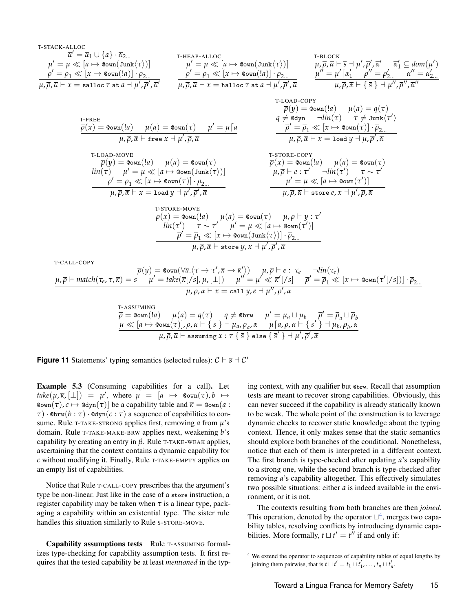<span id="page-14-0"></span>T-STATE-ALLC  
\n
$$
\overline{u} = \overline{u} \{a \mapsto \text{down}(\text{Junk}(\tau))\}
$$
\n
$$
\overline{u} = \overline{u} \{a \mapsto \text{down}(\text{Junk}(\tau))\}
$$
\n
$$
\overline{u} = \overline{u} \{a \mapsto \text{down}(\text{Junk}(\tau))\}
$$
\n
$$
\overline{u} = \overline{u} \{a \mapsto \text{down}(\text{Junk}(\tau))\}
$$
\n
$$
\overline{u} = \overline{u} \{a \mapsto \text{down}(\text{Junk}(\tau))\}
$$
\n
$$
\overline{u} = \overline{u} \{a \mapsto \text{down}(\text{Junk}(\tau))\}
$$
\n
$$
\overline{u} = \overline{u} \{a \mapsto \text{down}(\text{Junk}(\tau))\}
$$
\n
$$
\overline{u} = \overline{u} \{a \mapsto \text{down}(\text{Junk}(\tau))\}
$$
\n
$$
\overline{u} = \overline{u} \{a \mapsto \text{down}(\text{Junk}(\tau))\}
$$
\n
$$
\overline{u} = \overline{u} \{a \mapsto \text{down}(\text{Junk}(\tau))\}
$$
\n
$$
\overline{u} = \overline{u} \{a \mapsto \text{down}(\text{Junk}(\tau))\}
$$
\n
$$
\overline{u} = \overline{u} \{a \mapsto \text{down}(\text{Junk}(\tau))\}
$$
\n
$$
\overline{u} = \overline{u} \{a \mapsto \text{down}(\tau)\}
$$
\n
$$
\overline{u} = \overline{u} \{a \mapsto \text{down}(\tau)\}
$$
\n
$$
\overline{u} = \overline{u} \{a \mapsto \text{down}(\tau)\}
$$
\n
$$
\overline{u} = \overline{u} \{a \mapsto \text{down}(\tau)\}
$$
\n
$$
\overline{u} = \overline{u} \{a \mapsto \text{down}(\tau)\}
$$
\n
$$
\overline{u} = \overline{u} \{a \mapsto \text{down}(\tau)\}
$$
\n
$$
\overline{u} =
$$

T-ASSUMING  
\n
$$
\overline{\rho} = \text{Qown}([a]) \qquad \mu(a) = q(\tau) \qquad q \neq \text{Qbrw} \qquad \mu' = \mu_a \sqcup \mu_b \qquad \overline{\rho}' = \overline{\rho}_a \sqcup \overline{\rho}_b
$$
\n
$$
\mu \ll [a \mapsto \text{Qown}(\tau)], \overline{\rho}, \overline{\alpha} \vdash \{\overline{s}\} \dashv \mu_a, \overline{\rho}_a, \overline{\alpha} \qquad \mu \lceil a, \overline{\rho}, \overline{\alpha} \vdash \{\overline{s}'\} \dashv \mu_b, \overline{\rho}_b, \overline{\alpha}
$$
\n
$$
\mu, \overline{\rho}, \overline{\alpha} \vdash \text{assuming } x : \tau \{\overline{s}\} \text{ else } \{\overline{s}'\} \dashv \mu', \overline{\rho}', \overline{\alpha}
$$

**Figure 11** Statements' typing semantics (selected rules):  $C \vdash \overline{s} \dashv C'$ 

Example 5.3 (Consuming capabilities for a call). Let  $\mathit{take}(\mu, \overline{\kappa}, [\perp]) = \mu'$ , where  $\mu = [a \mapsto \mathsf{Qown}(\tau), b \mapsto$  $\mathfrak{C}(\sigma)$ ,  $c \mapsto \mathfrak{C}(\sigma)$  be a capability table and  $\bar{\kappa} = \mathfrak{C}(\sigma)$  a :  $\tau$ ) · @brw $(b : \tau)$  · @dyn $(c : \tau)$  a sequence of capabilities to consume. Rule <sup>T</sup>-TAKE-STRONG applies first, removing *a* from *µ*'s domain. Rule <sup>T</sup>-TAKE-MAKE-BRW applies next, weakening *b*'s capability by creating an entry in *β*. Rule <sup>T</sup>-TAKE-WEAK applies, ascertaining that the context contains a dynamic capability for *c* without modifying it. Finally, Rule T-TAKE-EMPTY applies on an empty list of capabilities.

Notice that Rule T-CALL-COPY prescribes that the argument's type be non-linear. Just like in the case of a store instruction, a register capability may be taken when  $\tau$  is a linear type, packaging a capability within an existential type. The sister rule handles this situation similarly to Rule S-STORE-MOVE.

Capability assumptions tests Rule <sup>T</sup>-ASSUMING formalizes type-checking for capability assumption tests. It first requires that the tested capability be at least *mentioned* in the typing context, with any qualifier but @brw. Recall that assumption tests are meant to recover strong capabilities. Obviously, this can never succeed if the capability is already statically known to be weak. The whole point of the construction is to leverage dynamic checks to recover static knowledge about the typing context. Hence, it only makes sense that the static semantics should explore both branches of the conditional. Nonetheless, notice that each of them is interpreted in a different context. The first branch is type-checked after updating *a*'s capability to a strong one, while the second branch is type-checked after removing *a*'s capability altogether. This effectively simulates two possible situations: either *a* is indeed available in the environment, or it is not.

The contexts resulting from both branches are then *joined*. This operation, denoted by the operator  $\sqcup^4$  $\sqcup^4$ , merges two capability tables, resolving conflicts by introducing dynamic capabilities. More formally,  $t \sqcup t' = t''$  if and only if:

<sup>&</sup>lt;sup>4</sup> We extend the operator to sequences of capability tables of equal lengths by joining them pairwise, that is  $\overline{t} \sqcup \overline{t}' = \overline{t}_1 \sqcup \overline{t}'_1, \ldots, \overline{t}_n \sqcup \overline{t}'_n$ .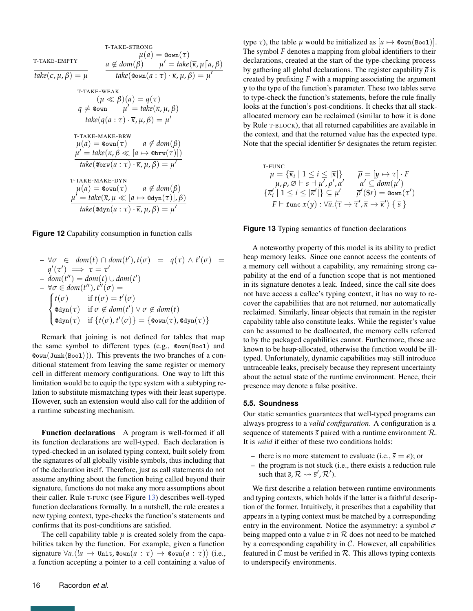<span id="page-15-0"></span>T-TAKE-STRONG  
\n
$$
\mu(a) = \text{Down}(\tau)
$$
\n
$$
\frac{a \notin dom(\beta) \quad \mu' = \text{take}(\overline{\kappa}, \mu \lceil a, \beta)
$$
\n
$$
\frac{a \notin dom(\beta) \quad \mu' = \text{take}(\overline{\kappa}, \mu \lceil a, \beta)
$$
\n
$$
\frac{a \notin dom(\beta) \quad \mu' = \text{take}(\overline{\kappa}, \mu \lceil a, \beta)
$$
\n
$$
\frac{a \notin dom(\beta)}{\text{take}(\mathbf{Q}(\mathbf{w})\mathbf{n}(a : \tau) \cdot \overline{\kappa}, \mu, \beta)} = \mu'
$$
\n
$$
\frac{a \neq \text{down} \quad \mu' = \text{take}(\overline{\kappa}, \mu, \beta)}{\text{take}(\mathbf{q}(a : \tau) \cdot \overline{\kappa}, \mu, \beta) = \mu'}
$$
\n
$$
\frac{\text{T-TAKE-MAKE-BRW}}{\text{T-TAKE-MAKE-BRW}} \quad a \notin dom(\beta)
$$
\n
$$
\frac{\mu' = \text{take}(\overline{\kappa}, \beta \ll [a \mapsto \text{Obrw}(\tau)])}{\text{take}(\text{Obrw}(a : \tau) \cdot \overline{\kappa}, \mu, \beta) = \mu'}
$$
\n
$$
\frac{\text{T-TAKE-MAKE-DYN}}{\text{T-TAKE-MAKE-DYN}} \quad a \notin dom(\beta)
$$
\n
$$
\frac{\mu' = \text{take}(\overline{\kappa}, \mu \ll [a \mapsto \text{Odyn}(\tau)], \beta)}{\text{take}(\text{bdyn}(a : \tau) \cdot \overline{\kappa}, \mu, \beta) = \mu'}
$$

**Figure 12** Capability consumption in function calls

$$
-\forall \sigma \in dom(t) \cap dom(t'), t(\sigma) = q(\tau) \wedge t'(\sigma) =
$$
  
\n
$$
q'(\tau') \implies \tau = \tau'
$$
  
\n
$$
- dom(t'') = dom(t) \cup dom(t')
$$
  
\n
$$
-\forall \sigma \in dom(t''), t''(\sigma) =
$$
  
\n
$$
\begin{cases}\nt(\sigma) & \text{if } t(\sigma) = t'(\sigma) \\
\text{edyn}(\tau) & \text{if } \sigma \notin dom(t') \vee \sigma \notin dom(t) \\
\text{edyn}(\tau) & \text{if } \{t(\sigma), t'(\sigma)\} = \{\text{down}(\tau), \text{edyn}(\tau)\}\n\end{cases}
$$

Remark that joining is not defined for tables that map the same symbol to different types (e.g., @own(Bool) and @own(Junk⟨Bool⟩)). This prevents the two branches of a conditional statement from leaving the same register or memory cell in different memory configurations. One way to lift this limitation would be to equip the type system with a subtyping relation to substitute mismatching types with their least supertype. However, such an extension would also call for the addition of a runtime subcasting mechanism.

Function declarations A program is well-formed if all its function declarations are well-typed. Each declaration is typed-checked in an isolated typing context, built solely from the signatures of all globally visible symbols, thus including that of the declaration itself. Therefore, just as call statements do not assume anything about the function being called beyond their signature, functions do not make any more assumptions about their caller. Rule T-FUNC (see Figure [13\)](#page-15-1) describes well-typed function declarations formally. In a nutshell, the rule creates a new typing context, type-checks the function's statements and confirms that its post-conditions are satisfied.

The cell capability table  $\mu$  is created solely from the capabilities taken by the function. For example, given a function signature  $\forall a. \langle !a \rightarrow \text{Unit}, \text{down}(a : \tau) \rightarrow \text{down}(a : \tau) \rangle$  (i.e., a function accepting a pointer to a cell containing a value of

type  $\tau$ ), the table  $\mu$  would be initialized as  $[a \mapsto \text{Cov}_n(\text{Bool})]$ . The symbol *F* denotes a mapping from global identifiers to their declarations, created at the start of the type-checking process by gathering all global declarations. The register capability *ρ* is created by prefixing *F* with a mapping associating the argument *y* to the type of the function's parameter. These two tables serve to type-check the function's statements, before the rule finally looks at the function's post-conditions. It checks that all stackallocated memory can be reclaimed (similar to how it is done by Rule T-BLOCK), that all returned capabilities are available in the context, and that the returned value has the expected type. Note that the special identifier \$*r* designates the return register.

<span id="page-15-1"></span>T-FUNC  
\n
$$
\mu = {\overline{\kappa}_i | 1 \le i \le |\overline{\kappa}| } \qquad \overline{\rho} = [y \mapsto \tau] \cdot F
$$
\n
$$
\mu, \overline{\rho}, \varnothing \vdash \overline{s} \dashv \mu', \overline{\rho}', \alpha' \qquad \alpha' \subseteq dom(\mu')
$$
\n
$$
{\overline{\kappa}_i' | 1 \le i \le |\overline{\kappa}'|} \subseteq \mu' \qquad \overline{\rho}'(\text{$\$$$$$$}) = \text{Qown}(\tau')
$$
\n
$$
F \vdash \text{func } x(y) : \forall \overline{a}. \langle \overline{\tau} \rightarrow \overline{\tau}', \overline{\kappa} \rightarrow \overline{\kappa}' \rangle \{\overline{s}\}
$$

**Figure 13** Typing semantics of function declarations

A noteworthy property of this model is its ability to predict heap memory leaks. Since one cannot access the contents of a memory cell without a capability, any remaining strong capability at the end of a function scope that is not mentioned in its signature denotes a leak. Indeed, since the call site does not have access a callee's typing context, it has no way to recover the capabilities that are not returned, nor automatically reclaimed. Similarly, linear objects that remain in the register capability table also constitute leaks. While the register's value can be assumed to be deallocated, the memory cells referred to by the packaged capabilities cannot. Furthermore, those are known to be heap-allocated, otherwise the function would be illtyped. Unfortunately, dynamic capabilities may still introduce untraceable leaks, precisely because they represent uncertainty about the actual state of the runtime environment. Hence, their presence may denote a false positive.

#### **5.5. Soundness**

Our static semantics guarantees that well-typed programs can always progress to a *valid configuration*. A configuration is a sequence of statements  $\overline{s}$  paired with a runtime environment  $\mathcal{R}$ . It is *valid* if either of these two conditions holds:

- there is no more statement to evaluate (i.e.,  $\bar{s} = \epsilon$ ); or
- the program is not stuck (i.e., there exists a reduction rule such that  $\overline{s}$ ,  $\mathcal{R} \rightsquigarrow \overline{s}'$ ,  $\mathcal{R}'$ ).

We first describe a relation between runtime environments and typing contexts, which holds if the latter is a faithful description of the former. Intuitively, it prescribes that a capability that appears in a typing context must be matched by a corresponding entry in the environment. Notice the asymmetry: a symbol *σ* being mapped onto a value  $v$  in  $R$  does not need to be matched by a corresponding capability in  $C$ . However, all capabilities featured in  $\mathcal C$  must be verified in  $\mathcal R$ . This allows typing contexts to underspecify environments.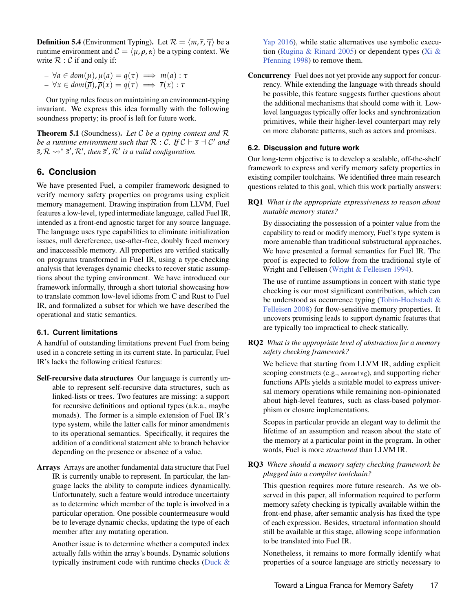**Definition 5.4** (Environment Typing). Let  $\mathcal{R} = \langle m, \overline{r}, \overline{\gamma} \rangle$  be a runtime environment and  $\mathcal{C} = \langle \mu, \overline{\rho}, \overline{\alpha} \rangle$  be a typing context. We write  $\mathcal{R} : \mathcal{C}$  if and only if:

 $\forall a \in dom(\mu), \mu(a) = q(\tau) \implies m(a) : \tau$  $\forall x \in dom(\overline{\rho}), \overline{\rho}(x) = q(\tau) \implies \overline{r}(x) : \tau$ 

Our typing rules focus on maintaining an environment-typing invariant. We express this idea formally with the following soundness property; its proof is left for future work.

Theorem 5.1 (Soundness). *Let* C *be a typing context and* R *be a runtime environment such that*  $\mathcal{R} : \mathcal{C}$ . If  $\mathcal{C} \vdash \overline{s} \dashv \mathcal{C}'$  and  $\overline{s}, \mathcal{R} \leadsto^* \overline{s}', \mathcal{R}',$  then  $\overline{s}', \mathcal{R}'$  is a valid configuration.

# <span id="page-16-0"></span>**6. Conclusion**

We have presented Fuel, a compiler framework designed to verify memory safety properties on programs using explicit memory management. Drawing inspiration from LLVM, Fuel features a low-level, typed intermediate language, called Fuel IR, intended as a front-end agnostic target for any source language. The language uses type capabilities to eliminate initialization issues, null dereference, use-after-free, doubly freed memory and inaccessible memory. All properties are verified statically on programs transformed in Fuel IR, using a type-checking analysis that leverages dynamic checks to recover static assumptions about the typing environment. We have introduced our framework informally, through a short tutorial showcasing how to translate common low-level idioms from C and Rust to Fuel IR, and formalized a subset for which we have described the operational and static semantics.

## **6.1. Current limitations**

A handful of outstanding limitations prevent Fuel from being used in a concrete setting in its current state. In particular, Fuel IR's lacks the following critical features:

- Self-recursive data structures Our language is currently unable to represent self-recursive data structures, such as linked-lists or trees. Two features are missing: a support for recursive definitions and optional types (a.k.a., maybe monads). The former is a simple extension of Fuel IR's type system, while the latter calls for minor amendments to its operational semantics. Specifically, it requires the addition of a conditional statement able to branch behavior depending on the presence or absence of a value.
- Arrays Arrays are another fundamental data structure that Fuel IR is currently unable to represent. In particular, the language lacks the ability to compute indices dynamically. Unfortunately, such a feature would introduce uncertainty as to determine which member of the tuple is involved in a particular operation. One possible countermeasure would be to leverage dynamic checks, updating the type of each member after any mutating operation.

Another issue is to determine whether a computed index actually falls within the array's bounds. Dynamic solutions typically instrument code with runtime checks [\(Duck &](#page-18-17) [Yap](#page-18-17) [2016\)](#page-18-17), while static alternatives use symbolic execu-tion [\(Rugina & Rinard](#page-19-19) [2005\)](#page-19-19) or dependent types [\(Xi &](#page-20-10) [Pfenning](#page-20-10) [1998\)](#page-20-10) to remove them.

Concurrency Fuel does not yet provide any support for concurrency. While extending the language with threads should be possible, this feature suggests further questions about the additional mechanisms that should come with it. Lowlevel languages typically offer locks and synchronization primitives, while their higher-level counterpart may rely on more elaborate patterns, such as actors and promises.

#### **6.2. Discussion and future work**

Our long-term objective is to develop a scalable, off-the-shelf framework to express and verify memory safety properties in existing compiler toolchains. We identified three main research questions related to this goal, which this work partially answers:

RQ1 *What is the appropriate expressiveness to reason about mutable memory states?*

By dissociating the possession of a pointer value from the capability to read or modify memory, Fuel's type system is more amenable than traditional substructural approaches. We have presented a formal semantics for Fuel IR. The proof is expected to follow from the traditional style of Wright and Felleisen [\(Wright & Felleisen](#page-20-11) [1994\)](#page-20-11).

The use of runtime assumptions in concert with static type checking is our most significant contribution, which can be understood as occurrence typing [\(Tobin-Hochstadt &](#page-20-9) [Felleisen](#page-20-9) [2008\)](#page-20-9) for flow-sensitive memory properties. It uncovers promising leads to support dynamic features that are typically too impractical to check statically.

RQ2 *What is the appropriate level of abstraction for a memory safety checking framework?*

We believe that starting from LLVM IR, adding explicit scoping constructs (e.g., assuming), and supporting richer functions APIs yields a suitable model to express universal memory operations while remaining non-opinionated about high-level features, such as class-based polymorphism or closure implementations.

Scopes in particular provide an elegant way to delimit the lifetime of an assumption and reason about the state of the memory at a particular point in the program. In other words, Fuel is more *structured* than LLVM IR.

## RQ3 *Where should a memory safety checking framework be plugged into a compiler toolchain?*

This question requires more future research. As we observed in this paper, all information required to perform memory safety checking is typically available within the front-end phase, after semantic analysis has fixed the type of each expression. Besides, structural information should still be available at this stage, allowing scope information to be translated into Fuel IR.

Nonetheless, it remains to more formally identify what properties of a source language are strictly necessary to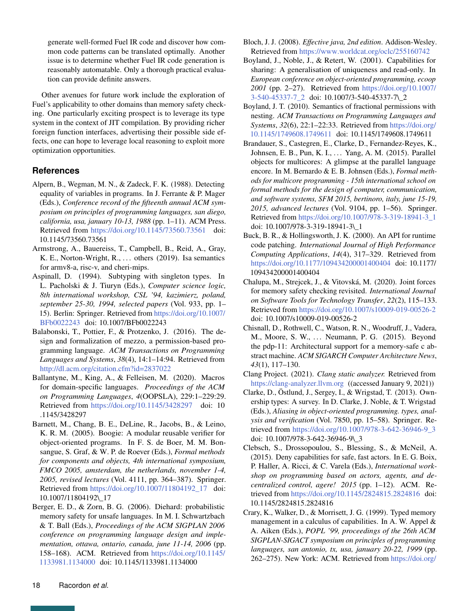generate well-formed Fuel IR code and discover how common code patterns can be translated optimally. Another issue is to determine whether Fuel IR code generation is reasonably automatable. Only a thorough practical evaluation can provide definite answers.

Other avenues for future work include the exploration of Fuel's applicability to other domains than memory safety checking. One particularly exciting prospect is to leverage its type system in the context of JIT compilation. By providing richer foreign function interfaces, advertising their possible side effects, one can hope to leverage local reasoning to exploit more optimization opportunities.

# **References**

- <span id="page-17-15"></span>Alpern, B., Wegman, M. N., & Zadeck, F. K. (1988). Detecting equality of variables in programs. In J. Ferrante & P. Mager (Eds.), *Conference record of the fifteenth annual ACM symposium on principles of programming languages, san diego, california, usa, january 10-13, 1988* (pp. 1–11). ACM Press. Retrieved from <https://doi.org/10.1145/73560.73561> doi: 10.1145/73560.73561
- <span id="page-17-12"></span>Armstrong, A., Bauereiss, T., Campbell, B., Reid, A., Gray, K. E., Norton-Wright, R., ... others (2019). Isa semantics for armv8-a, risc-v, and cheri-mips.
- <span id="page-17-16"></span>Aspinall, D. (1994). Subtyping with singleton types. In L. Pacholski & J. Tiuryn (Eds.), *Computer science logic, 8th international workshop, CSL '94, kazimierz, poland, september 25-30, 1994, selected papers* (Vol. 933, pp. 1– 15). Berlin: Springer. Retrieved from [https://doi.org/10.1007/](https://doi.org/10.1007/BFb0022243) [BFb0022243](https://doi.org/10.1007/BFb0022243) doi: 10.1007/BFb0022243
- <span id="page-17-14"></span>Balabonski, T., Pottier, F., & Protzenko, J. (2016). The design and formalization of mezzo, a permission-based programming language. *ACM Transactions on Programming Languages and Systems*, *38*(4), 14:1–14:94. Retrieved from <http://dl.acm.org/citation.cfm?id=2837022>
- <span id="page-17-0"></span>Ballantyne, M., King, A., & Felleisen, M. (2020). Macros for domain-specific languages. *Proceedings of the ACM on Programming Languages*, *4*(OOPSLA), 229:1–229:29. Retrieved from <https://doi.org/10.1145/3428297> doi: 10 .1145/3428297
- <span id="page-17-1"></span>Barnett, M., Chang, B. E., DeLine, R., Jacobs, B., & Leino, K. R. M. (2005). Boogie: A modular reusable verifier for object-oriented programs. In F. S. de Boer, M. M. Bonsangue, S. Graf, & W. P. de Roever (Eds.), *Formal methods for components and objects, 4th international symposium, FMCO 2005, amsterdam, the netherlands, november 1-4, 2005, revised lectures* (Vol. 4111, pp. 364–387). Springer. Retrieved from [https://doi.org/10.1007/11804192\\_17](https://doi.org/10.1007/11804192_17) doi: 10.1007/11804192\\_17
- <span id="page-17-10"></span>Berger, E. D., & Zorn, B. G. (2006). Diehard: probabilistic memory safety for unsafe languages. In M. I. Schwartzbach & T. Ball (Eds.), *Proceedings of the ACM SIGPLAN 2006 conference on programming language design and implementation, ottawa, ontario, canada, june 11-14, 2006* (pp. 158–168). ACM. Retrieved from [https://doi.org/10.1145/](https://doi.org/10.1145/1133981.1134000) [1133981.1134000](https://doi.org/10.1145/1133981.1134000) doi: 10.1145/1133981.1134000
- <span id="page-17-3"></span>Bloch, J. J. (2008). *Effective java, 2nd edition*. Addison-Wesley. Retrieved from <https://www.worldcat.org/oclc/255160742>
- <span id="page-17-5"></span>Boyland, J., Noble, J., & Retert, W. (2001). Capabilities for sharing: A generalisation of uniqueness and read-only. In *European conference on object-oriented programming, ecoop 2001* (pp. 2–27). Retrieved from [https://doi.org/10.1007/](https://doi.org/10.1007/3-540-45337-7_2) [3-540-45337-7\\_2](https://doi.org/10.1007/3-540-45337-7_2) doi: 10.1007/3-540-45337-7\\_2
- <span id="page-17-6"></span>Boyland, J. T. (2010). Semantics of fractional permissions with nesting. *ACM Transactions on Programming Languages and Systems*, *32*(6), 22:1–22:33. Retrieved from [https://doi.org/](https://doi.org/10.1145/1749608.1749611) [10.1145/1749608.1749611](https://doi.org/10.1145/1749608.1749611) doi: 10.1145/1749608.1749611
- <span id="page-17-8"></span>Brandauer, S., Castegren, E., Clarke, D., Fernandez-Reyes, K., Johnsen, E. B., Pun, K. I., . . . Yang, A. M. (2015). Parallel objects for multicores: A glimpse at the parallel language encore. In M. Bernardo & E. B. Johnsen (Eds.), *Formal methods for multicore programming - 15th international school on formal methods for the design of computer, communication, and software systems, SFM 2015, bertinoro, italy, june 15-19, 2015, advanced lectures* (Vol. 9104, pp. 1–56). Springer. Retrieved from [https://doi.org/10.1007/978-3-319-18941-3\\_1](https://doi.org/10.1007/978-3-319-18941-3_1) doi: 10.1007/978-3-319-18941-3\\_1
- <span id="page-17-9"></span>Buck, B. R., & Hollingsworth, J. K. (2000). An API for runtime code patching. *International Journal of High Performance Computing Applications*, *14*(4), 317–329. Retrieved from <https://doi.org/10.1177/109434200001400404> doi: 10.1177/ 109434200001400404
- <span id="page-17-11"></span>Chalupa, M., Strejcek, J., & Vitovská, M. (2020). Joint forces for memory safety checking revisited. *International Journal on Software Tools for Technology Transfer*, *22*(2), 115–133. Retrieved from <https://doi.org/10.1007/s10009-019-00526-2> doi: 10.1007/s10009-019-00526-2
- <span id="page-17-13"></span>Chisnall, D., Rothwell, C., Watson, R. N., Woodruff, J., Vadera, M., Moore, S. W., ... Neumann, P. G. (2015). Beyond the pdp-11: Architectural support for a memory-safe c abstract machine. *ACM SIGARCH Computer Architecture News*, *43*(1), 117–130.
- <span id="page-17-4"></span>Clang Project. (2021). *Clang static analyzer.* Retrieved from <https://clang-analyzer.llvm.org> ((accessed January 9, 2021))
- <span id="page-17-2"></span>Clarke, D., Östlund, J., Sergey, I., & Wrigstad, T. (2013). Ownership types: A survey. In D. Clarke, J. Noble, & T. Wrigstad (Eds.), *Aliasing in object-oriented programming. types, analysis and verification* (Vol. 7850, pp. 15–58). Springer. Retrieved from [https://doi.org/10.1007/978-3-642-36946-9\\_3](https://doi.org/10.1007/978-3-642-36946-9_3) doi: 10.1007/978-3-642-36946-9\\_3
- <span id="page-17-7"></span>Clebsch, S., Drossopoulou, S., Blessing, S., & McNeil, A. (2015). Deny capabilities for safe, fast actors. In E. G. Boix, P. Haller, A. Ricci, & C. Varela (Eds.), *International workshop on programming based on actors, agents, and decentralized control, agere! 2015* (pp. 1–12). ACM. Retrieved from <https://doi.org/10.1145/2824815.2824816> doi: 10.1145/2824815.2824816
- <span id="page-17-17"></span>Crary, K., Walker, D., & Morrisett, J. G. (1999). Typed memory management in a calculus of capabilities. In A. W. Appel & A. Aiken (Eds.), *POPL '99, proceedings of the 26th ACM SIGPLAN-SIGACT symposium on principles of programming languages, san antonio, tx, usa, january 20-22, 1999* (pp. 262–275). New York: ACM. Retrieved from [https://doi.org/](https://doi.org/10.1145/292540.292564)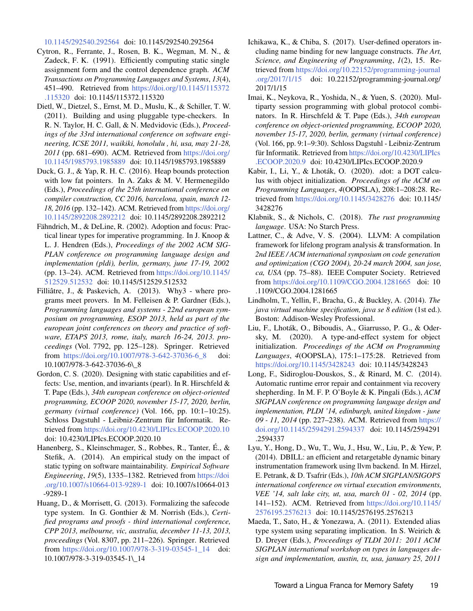[10.1145/292540.292564](https://doi.org/10.1145/292540.292564) doi: 10.1145/292540.292564

- <span id="page-18-16"></span>Cytron, R., Ferrante, J., Rosen, B. K., Wegman, M. N., & Zadeck, F. K. (1991). Efficiently computing static single assignment form and the control dependence graph. *ACM Transactions on Programming Languages and Systems*, *13*(4), 451–490. Retrieved from [https://doi.org/10.1145/115372](https://doi.org/10.1145/115372.115320) [.115320](https://doi.org/10.1145/115372.115320) doi: 10.1145/115372.115320
- <span id="page-18-7"></span>Dietl, W., Dietzel, S., Ernst, M. D., Muslu, K., & Schiller, T. W. (2011). Building and using pluggable type-checkers. In R. N. Taylor, H. C. Gall, & N. Medvidovic (Eds.), *Proceedings of the 33rd international conference on software engineering, ICSE 2011, waikiki, honolulu , hi, usa, may 21-28, 2011* (pp. 681–690). ACM. Retrieved from [https://doi.org/](https://doi.org/10.1145/1985793.1985889) [10.1145/1985793.1985889](https://doi.org/10.1145/1985793.1985889) doi: 10.1145/1985793.1985889
- <span id="page-18-17"></span>Duck, G. J., & Yap, R. H. C. (2016). Heap bounds protection with low fat pointers. In A. Zaks & M. V. Hermenegildo (Eds.), *Proceedings of the 25th international conference on compiler construction, CC 2016, barcelona, spain, march 12- 18, 2016* (pp. 132–142). ACM. Retrieved from [https://doi.org/](https://doi.org/10.1145/2892208.2892212) [10.1145/2892208.2892212](https://doi.org/10.1145/2892208.2892212) doi: 10.1145/2892208.2892212
- <span id="page-18-10"></span>Fähndrich, M., & DeLine, R. (2002). Adoption and focus: Practical linear types for imperative programming. In J. Knoop & L. J. Hendren (Eds.), *Proceedings of the 2002 ACM SIG-PLAN conference on programming language design and implementation (pldi), berlin, germany, june 17-19, 2002* (pp. 13–24). ACM. Retrieved from [https://doi.org/10.1145/](https://doi.org/10.1145/512529.512532) [512529.512532](https://doi.org/10.1145/512529.512532) doi: 10.1145/512529.512532
- <span id="page-18-6"></span>Filliâtre, J., & Paskevich, A. (2013). Why3 - where programs meet provers. In M. Felleisen & P. Gardner (Eds.), *Programming languages and systems - 22nd european symposium on programming, ESOP 2013, held as part of the european joint conferences on theory and practice of software, ETAPS 2013, rome, italy, march 16-24, 2013. proceedings* (Vol. 7792, pp. 125–128). Springer. Retrieved from [https://doi.org/10.1007/978-3-642-37036-6\\_8](https://doi.org/10.1007/978-3-642-37036-6_8) doi: 10.1007/978-3-642-37036-6\\_8
- <span id="page-18-11"></span>Gordon, C. S. (2020). Designing with static capabilities and effects: Use, mention, and invariants (pearl). In R. Hirschfeld & T. Pape (Eds.), *34th european conference on object-oriented programming, ECOOP 2020, november 15-17, 2020, berlin, germany (virtual conference)* (Vol. 166, pp. 10:1–10:25). Schloss Dagstuhl - Leibniz-Zentrum für Informatik. Retrieved from <https://doi.org/10.4230/LIPIcs.ECOOP.2020.10> doi: 10.4230/LIPIcs.ECOOP.2020.10
- <span id="page-18-1"></span>Hanenberg, S., Kleinschmager, S., Robbes, R., Tanter, É., & Stefik, A. (2014). An empirical study on the impact of static typing on software maintainability. *Empirical Software Engineering*, *19*(5), 1335–1382. Retrieved from [https://doi](https://doi.org/10.1007/s10664-013-9289-1) [.org/10.1007/s10664-013-9289-1](https://doi.org/10.1007/s10664-013-9289-1) doi: 10.1007/s10664-013 -9289-1
- <span id="page-18-14"></span>Huang, D., & Morrisett, G. (2013). Formalizing the safecode type system. In G. Gonthier & M. Norrish (Eds.), *Certified programs and proofs - third international conference, CPP 2013, melbourne, vic, australia, december 11-13, 2013, proceedings* (Vol. 8307, pp. 211–226). Springer. Retrieved from [https://doi.org/10.1007/978-3-319-03545-1\\_14](https://doi.org/10.1007/978-3-319-03545-1_14) doi: 10.1007/978-3-319-03545-1\\_14
- <span id="page-18-2"></span>Ichikawa, K., & Chiba, S. (2017). User-defined operators including name binding for new language constructs. *The Art, Science, and Engineering of Programming*, *1*(2), 15. Retrieved from [https://doi.org/10.22152/programming-journal](https://doi.org/10.22152/programming-journal.org/2017/1/15) [.org/2017/1/15](https://doi.org/10.22152/programming-journal.org/2017/1/15) doi: 10.22152/programming-journal.org/ 2017/1/15
- <span id="page-18-3"></span>Imai, K., Neykova, R., Yoshida, N., & Yuen, S. (2020). Multiparty session programming with global protocol combinators. In R. Hirschfeld & T. Pape (Eds.), *34th european conference on object-oriented programming, ECOOP 2020, november 15-17, 2020, berlin, germany (virtual conference)* (Vol. 166, pp. 9:1–9:30). Schloss Dagstuhl - Leibniz-Zentrum für Informatik. Retrieved from [https://doi.org/10.4230/LIPIcs](https://doi.org/10.4230/LIPIcs.ECOOP.2020.9) [.ECOOP.2020.9](https://doi.org/10.4230/LIPIcs.ECOOP.2020.9) doi: 10.4230/LIPIcs.ECOOP.2020.9
- <span id="page-18-0"></span>Kabir, I., Li, Y., & Lhoták, O. (2020). *ι*dot: a DOT calculus with object initialization. *Proceedings of the ACM on Programming Languages*, *4*(OOPSLA), 208:1–208:28. Retrieved from <https://doi.org/10.1145/3428276> doi: 10.1145/ 3428276
- <span id="page-18-15"></span>Klabnik, S., & Nichols, C. (2018). *The rust programming language*. USA: No Starch Press.
- <span id="page-18-4"></span>Lattner, C., & Adve, V. S. (2004). LLVM: A compilation framework for lifelong program analysis & transformation. In *2nd IEEE / ACM international symposium on code generation and optimization (CGO 2004), 20-24 march 2004, san jose, ca, USA* (pp. 75–88). IEEE Computer Society. Retrieved from <https://doi.org/10.1109/CGO.2004.1281665> doi: 10 .1109/CGO.2004.1281665
- <span id="page-18-5"></span>Lindholm, T., Yellin, F., Bracha, G., & Buckley, A. (2014). *The java virtual machine specification, java se 8 edition* (1st ed.). Boston: Addison-Wesley Professional.
- <span id="page-18-8"></span>Liu, F., Lhoták, O., Biboudis, A., Giarrusso, P. G., & Odersky, M. (2020). A type-and-effect system for object initialization. *Proceedings of the ACM on Programming Languages*, *4*(OOPSLA), 175:1–175:28. Retrieved from <https://doi.org/10.1145/3428243> doi: 10.1145/3428243
- <span id="page-18-13"></span>Long, F., Sidiroglou-Douskos, S., & Rinard, M. C. (2014). Automatic runtime error repair and containment via recovery shepherding. In M. F. P. O'Boyle & K. Pingali (Eds.), *ACM SIGPLAN conference on programming language design and implementation, PLDI '14, edinburgh, united kingdom - june 09 - 11, 2014* (pp. 227–238). ACM. Retrieved from [https://](https://doi.org/10.1145/2594291.2594337) [doi.org/10.1145/2594291.2594337](https://doi.org/10.1145/2594291.2594337) doi: 10.1145/2594291 .2594337
- <span id="page-18-12"></span>Lyu, Y., Hong, D., Wu, T., Wu, J., Hsu, W., Liu, P., & Yew, P. (2014). DBILL: an efficient and retargetable dynamic binary instrumentation framework using llvm backend. In M. Hirzel, E. Petrank, & D. Tsafrir (Eds.), *10th ACM SIGPLAN/SIGOPS international conference on virtual execution environments, VEE '14, salt lake city, ut, usa, march 01 - 02, 2014* (pp. 141–152). ACM. Retrieved from [https://doi.org/10.1145/](https://doi.org/10.1145/2576195.2576213) [2576195.2576213](https://doi.org/10.1145/2576195.2576213) doi: 10.1145/2576195.2576213
- <span id="page-18-9"></span>Maeda, T., Sato, H., & Yonezawa, A. (2011). Extended alias type system using separating implication. In S. Weirich & D. Dreyer (Eds.), *Proceedings of TLDI 2011: 2011 ACM SIGPLAN international workshop on types in languages design and implementation, austin, tx, usa, january 25, 2011*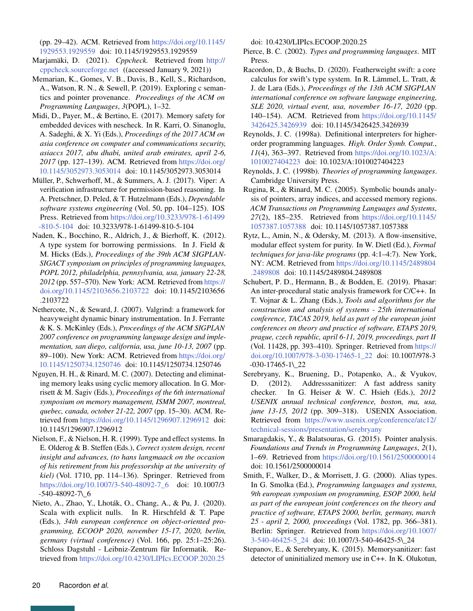(pp. 29–42). ACM. Retrieved from [https://doi.org/10.1145/](https://doi.org/10.1145/1929553.1929559) [1929553.1929559](https://doi.org/10.1145/1929553.1929559) doi: 10.1145/1929553.1929559

- <span id="page-19-7"></span>Marjamäki, D. (2021). *Cppcheck.* Retrieved from [http://](http://cppcheck.sourceforge.net) [cppcheck.sourceforge.net](http://cppcheck.sourceforge.net) ((accessed January 9, 2021))
- <span id="page-19-16"></span>Memarian, K., Gomes, V. B., Davis, B., Kell, S., Richardson, A., Watson, R. N., & Sewell, P. (2019). Exploring c semantics and pointer provenance. *Proceedings of the ACM on Programming Languages*, *3*(POPL), 1–32.
- <span id="page-19-15"></span>Midi, D., Payer, M., & Bertino, E. (2017). Memory safety for embedded devices with nescheck. In R. Karri, O. Sinanoglu, A. Sadeghi, & X. Yi (Eds.), *Proceedings of the 2017 ACM on asia conference on computer and communications security, asiaccs 2017, abu dhabi, united arab emirates, april 2-6, 2017* (pp. 127–139). ACM. Retrieved from [https://doi.org/](https://doi.org/10.1145/3052973.3053014) [10.1145/3052973.3053014](https://doi.org/10.1145/3052973.3053014) doi: 10.1145/3052973.3053014
- <span id="page-19-2"></span>Müller, P., Schwerhoff, M., & Summers, A. J. (2017). Viper: A verification infrastructure for permission-based reasoning. In A. Pretschner, D. Peled, & T. Hutzelmann (Eds.), *Dependable software systems engineering* (Vol. 50, pp. 104–125). IOS Press. Retrieved from [https://doi.org/10.3233/978-1-61499](https://doi.org/10.3233/978-1-61499-810-5-104) [-810-5-104](https://doi.org/10.3233/978-1-61499-810-5-104) doi: 10.3233/978-1-61499-810-5-104
- <span id="page-19-4"></span>Naden, K., Bocchino, R., Aldrich, J., & Bierhoff, K. (2012). A type system for borrowing permissions. In J. Field & M. Hicks (Eds.), *Proceedings of the 39th ACM SIGPLAN-SIGACT symposium on principles of programming languages, POPL 2012, philadelphia, pennsylvania, usa, january 22-28, 2012* (pp. 557–570). New York: ACM. Retrieved from [https://](https://doi.org/10.1145/2103656.2103722) [doi.org/10.1145/2103656.2103722](https://doi.org/10.1145/2103656.2103722) doi: 10.1145/2103656 .2103722
- <span id="page-19-12"></span>Nethercote, N., & Seward, J. (2007). Valgrind: a framework for heavyweight dynamic binary instrumentation. In J. Ferrante & K. S. McKinley (Eds.), *Proceedings of the ACM SIGPLAN 2007 conference on programming language design and implementation, san diego, california, usa, june 10-13, 2007* (pp. 89–100). New York: ACM. Retrieved from [https://doi.org/](https://doi.org/10.1145/1250734.1250746) [10.1145/1250734.1250746](https://doi.org/10.1145/1250734.1250746) doi: 10.1145/1250734.1250746
- <span id="page-19-14"></span>Nguyen, H. H., & Rinard, M. C. (2007). Detecting and eliminating memory leaks using cyclic memory allocation. In G. Morrisett & M. Sagiv (Eds.), *Proceedings of the 6th international symposium on memory management, ISMM 2007, montreal, quebec, canada, october 21-22, 2007* (pp. 15–30). ACM. Retrieved from <https://doi.org/10.1145/1296907.1296912> doi: 10.1145/1296907.1296912
- <span id="page-19-5"></span>Nielson, F., & Nielson, H. R. (1999). Type and effect systems. In E. Olderog & B. Steffen (Eds.), *Correct system design, recent insight and advances, (to hans langmaack on the occasion of his retirement from his professorship at the university of kiel)* (Vol. 1710, pp. 114–136). Springer. Retrieved from [https://doi.org/10.1007/3-540-48092-7\\_6](https://doi.org/10.1007/3-540-48092-7_6) doi: 10.1007/3 -540-48092-7\\_6
- <span id="page-19-8"></span>Nieto, A., Zhao, Y., Lhoták, O., Chang, A., & Pu, J. (2020). Scala with explicit nulls. In R. Hirschfeld & T. Pape (Eds.), *34th european conference on object-oriented programming, ECOOP 2020, november 15-17, 2020, berlin, germany (virtual conference)* (Vol. 166, pp. 25:1–25:26). Schloss Dagstuhl - Leibniz-Zentrum für Informatik. Retrieved from <https://doi.org/10.4230/LIPIcs.ECOOP.2020.25>

doi: 10.4230/LIPIcs.ECOOP.2020.25

- <span id="page-19-17"></span>Pierce, B. C. (2002). *Types and programming languages*. MIT Press.
- <span id="page-19-0"></span>Racordon, D., & Buchs, D. (2020). Featherweight swift: a core calculus for swift's type system. In R. Lämmel, L. Tratt, & J. de Lara (Eds.), *Proceedings of the 13th ACM SIGPLAN international conference on software language engineering, SLE 2020, virtual event, usa, november 16-17, 2020* (pp. 140–154). ACM. Retrieved from [https://doi.org/10.1145/](https://doi.org/10.1145/3426425.3426939) [3426425.3426939](https://doi.org/10.1145/3426425.3426939) doi: 10.1145/3426425.3426939
- <span id="page-19-18"></span>Reynolds, J. C. (1998a). Definitional interpreters for higherorder programming languages. *High. Order Symb. Comput.*, *11*(4), 363–397. Retrieved from [https://doi.org/10.1023/A:](https://doi.org/10.1023/A:1010027404223) [1010027404223](https://doi.org/10.1023/A:1010027404223) doi: 10.1023/A:1010027404223
- <span id="page-19-9"></span>Reynolds, J. C. (1998b). *Theories of programming languages*. Cambridge University Press.
- <span id="page-19-19"></span>Rugina, R., & Rinard, M. C. (2005). Symbolic bounds analysis of pointers, array indices, and accessed memory regions. *ACM Transactions on Programming Languages and Systems*, *27*(2), 185–235. Retrieved from [https://doi.org/10.1145/](https://doi.org/10.1145/1057387.1057388) [1057387.1057388](https://doi.org/10.1145/1057387.1057388) doi: 10.1145/1057387.1057388
- <span id="page-19-10"></span>Rytz, L., Amin, N., & Odersky, M. (2013). A flow-insensitive, modular effect system for purity. In W. Dietl (Ed.), *Formal techniques for java-like programs* (pp. 4:1–4:7). New York, NY: ACM. Retrieved from [https://doi.org/10.1145/2489804](https://doi.org/10.1145/2489804.2489808) [.2489808](https://doi.org/10.1145/2489804.2489808) doi: 10.1145/2489804.2489808
- <span id="page-19-1"></span>Schubert, P. D., Hermann, B., & Bodden, E. (2019). Phasar: An inter-procedural static analysis framework for C/C++. In T. Vojnar & L. Zhang (Eds.), *Tools and algorithms for the construction and analysis of systems - 25th international conference, TACAS 2019, held as part of the european joint conferences on theory and practice of software, ETAPS 2019, prague, czech republic, april 6-11, 2019, proceedings, part II* (Vol. 11428, pp. 393–410). Springer. Retrieved from [https://](https://doi.org/10.1007/978-3-030-17465-1_22) [doi.org/10.1007/978-3-030-17465-1\\_22](https://doi.org/10.1007/978-3-030-17465-1_22) doi: 10.1007/978-3 -030-17465-1\\_22
- <span id="page-19-13"></span>Serebryany, K., Bruening, D., Potapenko, A., & Vyukov, D. (2012). Addresssanitizer: A fast address sanity checker. In G. Heiser & W. C. Hsieh (Eds.), *2012 USENIX annual technical conference, boston, ma, usa, june 13-15, 2012* (pp. 309–318). USENIX Association. Retrieved from [https://www.usenix.org/conference/atc12/](https://www.usenix.org/conference/atc12/technical-sessions/presentation/serebryany) [technical-sessions/presentation/serebryany](https://www.usenix.org/conference/atc12/technical-sessions/presentation/serebryany)
- <span id="page-19-6"></span>Smaragdakis, Y., & Balatsouras, G. (2015). Pointer analysis. *Foundations and Trends in Programming Languages*, *2*(1), 1–69. Retrieved from <https://doi.org/10.1561/2500000014> doi: 10.1561/2500000014
- <span id="page-19-3"></span>Smith, F., Walker, D., & Morrisett, J. G. (2000). Alias types. In G. Smolka (Ed.), *Programming languages and systems, 9th european symposium on programming, ESOP 2000, held as part of the european joint conferences on the theory and practice of software, ETAPS 2000, berlin, germany, march 25 - april 2, 2000, proceedings* (Vol. 1782, pp. 366–381). Berlin: Springer. Retrieved from [https://doi.org/10.1007/](https://doi.org/10.1007/3-540-46425-5_24) [3-540-46425-5\\_24](https://doi.org/10.1007/3-540-46425-5_24) doi: 10.1007/3-540-46425-5\\_24
- <span id="page-19-11"></span>Stepanov, E., & Serebryany, K. (2015). Memorysanitizer: fast detector of uninitialized memory use in C++. In K. Olukotun,